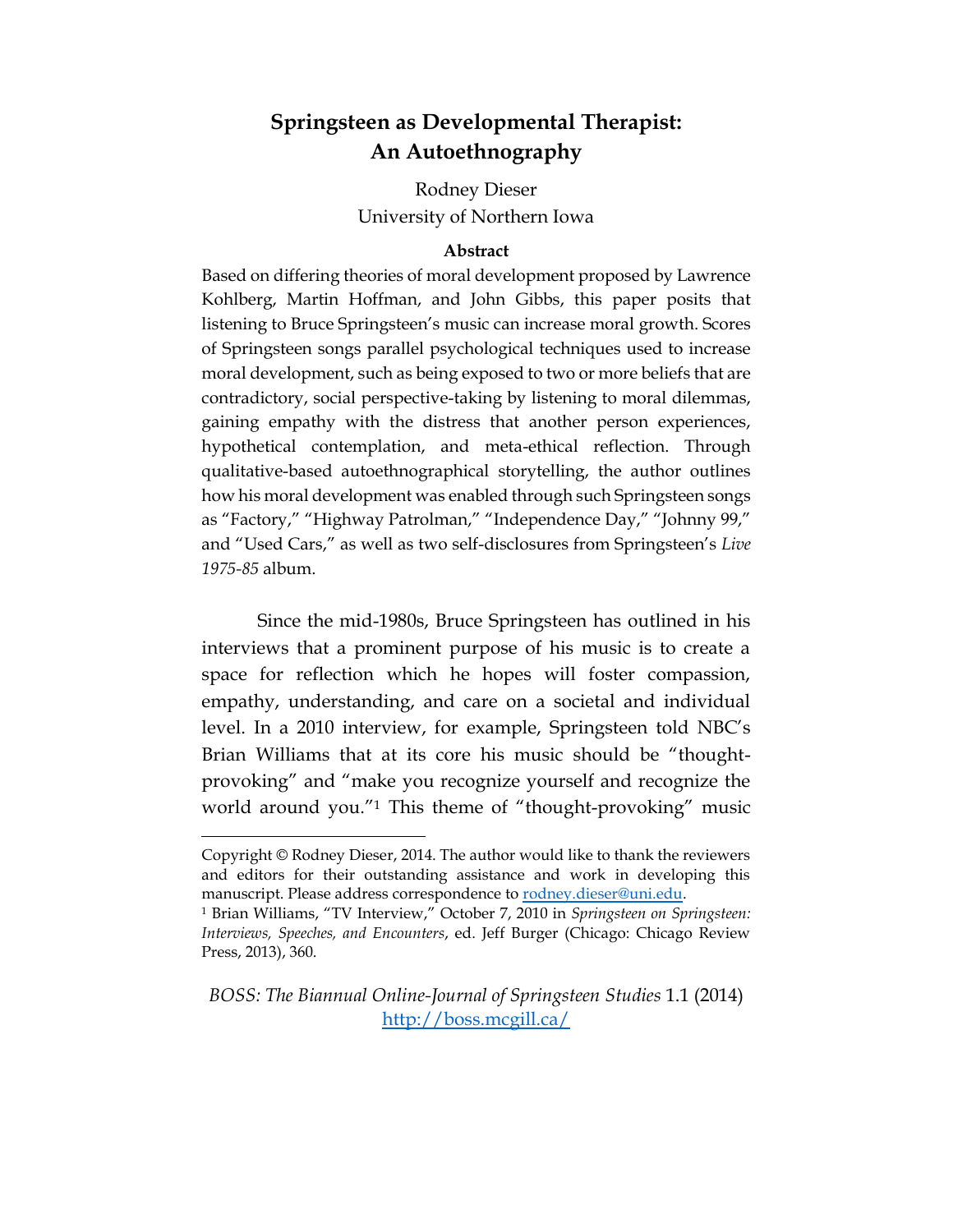# **Springsteen as Developmental Therapist: An Autoethnography**

Rodney Dieser University of Northern Iowa

### **Abstract**

Based on differing theories of moral development proposed by Lawrence Kohlberg, Martin Hoffman, and John Gibbs, this paper posits that listening to Bruce Springsteen's music can increase moral growth. Scores of Springsteen songs parallel psychological techniques used to increase moral development, such as being exposed to two or more beliefs that are contradictory, social perspective-taking by listening to moral dilemmas, gaining empathy with the distress that another person experiences, hypothetical contemplation, and meta-ethical reflection. Through qualitative-based autoethnographical storytelling, the author outlines how his moral development was enabled through such Springsteen songs as "Factory," "Highway Patrolman," "Independence Day," "Johnny 99," and "Used Cars," as well as two self-disclosures from Springsteen's *Live 1975-85* album.

Since the mid-1980s, Bruce Springsteen has outlined in his interviews that a prominent purpose of his music is to create a space for reflection which he hopes will foster compassion, empathy, understanding, and care on a societal and individual level. In a 2010 interview, for example, Springsteen told NBC's Brian Williams that at its core his music should be "thoughtprovoking" and "make you recognize yourself and recognize the world around you."<sup>1</sup> This theme of "thought-provoking" music

 $\overline{a}$ 

*BOSS: The Biannual Online-Journal of Springsteen Studies* 1.1 (2014) <http://boss.mcgill.ca/>

Copyright © Rodney Dieser, 2014. The author would like to thank the reviewers and editors for their outstanding assistance and work in developing this manuscript. Please address correspondence to [rodney.dieser@uni.edu.](mailto:rodney.dieser@uni.edu)

<sup>1</sup> Brian Williams, "TV Interview," October 7, 2010 in *Springsteen on Springsteen: Interviews, Speeches, and Encounters*, ed. Jeff Burger (Chicago: Chicago Review Press, 2013), 360.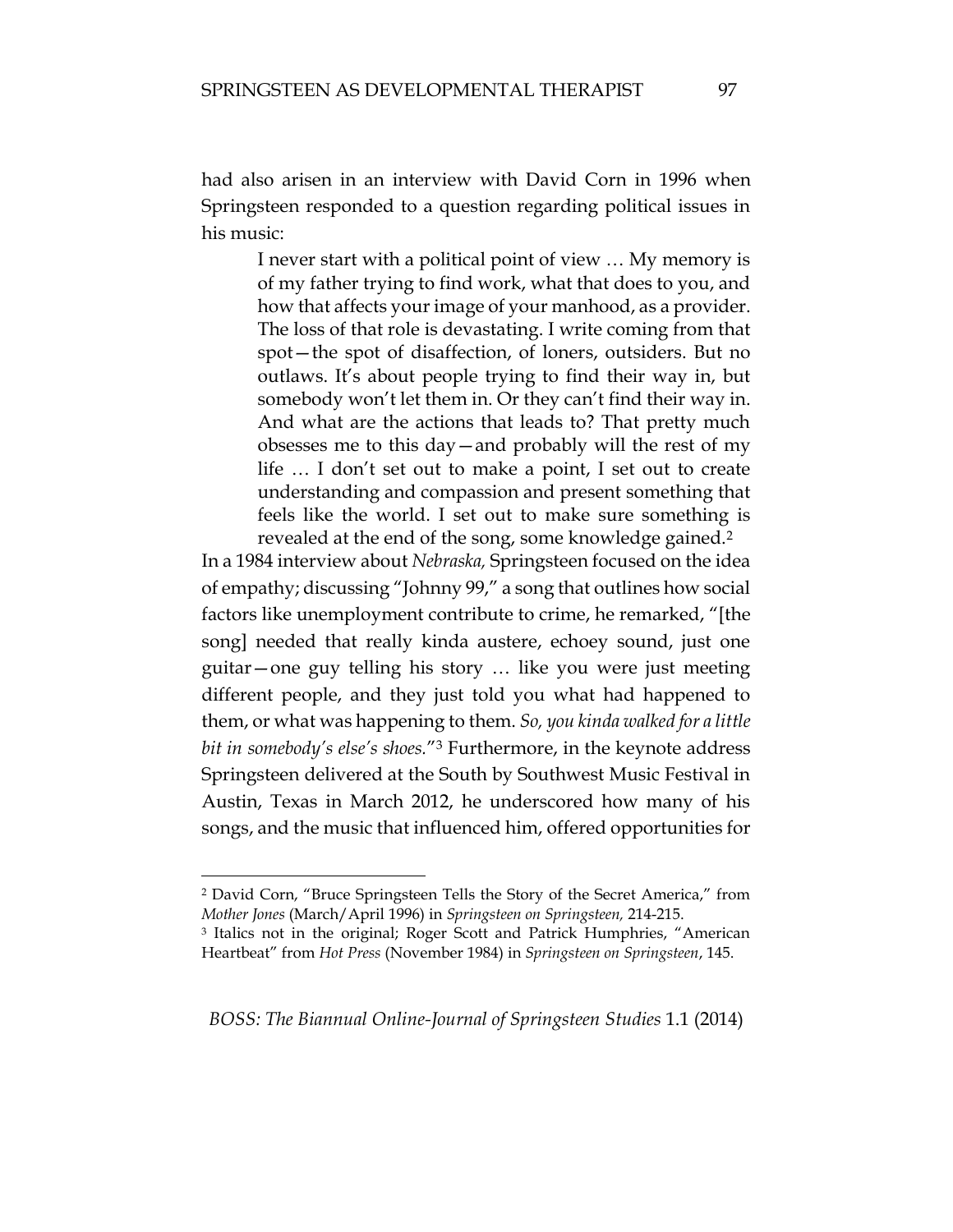had also arisen in an interview with David Corn in 1996 when Springsteen responded to a question regarding political issues in his music:

> I never start with a political point of view … My memory is of my father trying to find work, what that does to you, and how that affects your image of your manhood, as a provider. The loss of that role is devastating. I write coming from that spot—the spot of disaffection, of loners, outsiders. But no outlaws. It's about people trying to find their way in, but somebody won't let them in. Or they can't find their way in. And what are the actions that leads to? That pretty much obsesses me to this day—and probably will the rest of my life … I don't set out to make a point, I set out to create understanding and compassion and present something that feels like the world. I set out to make sure something is revealed at the end of the song, some knowledge gained.<sup>2</sup>

In a 1984 interview about *Nebraska,* Springsteen focused on the idea of empathy; discussing "Johnny 99," a song that outlines how social factors like unemployment contribute to crime, he remarked, "[the song] needed that really kinda austere, echoey sound, just one guitar—one guy telling his story … like you were just meeting different people, and they just told you what had happened to them, or what was happening to them. *So, you kinda walked for a little bit in somebody's else's shoes.*"<sup>3</sup> Furthermore, in the keynote address Springsteen delivered at the South by Southwest Music Festival in Austin, Texas in March 2012, he underscored how many of his songs, and the music that influenced him, offered opportunities for

<sup>2</sup> David Corn, "Bruce Springsteen Tells the Story of the Secret America," from *Mother Jones* (March/April 1996) in *Springsteen on Springsteen,* 214-215.

<sup>3</sup> Italics not in the original; Roger Scott and Patrick Humphries, "American Heartbeat" from *Hot Press* (November 1984) in *Springsteen on Springsteen*, 145.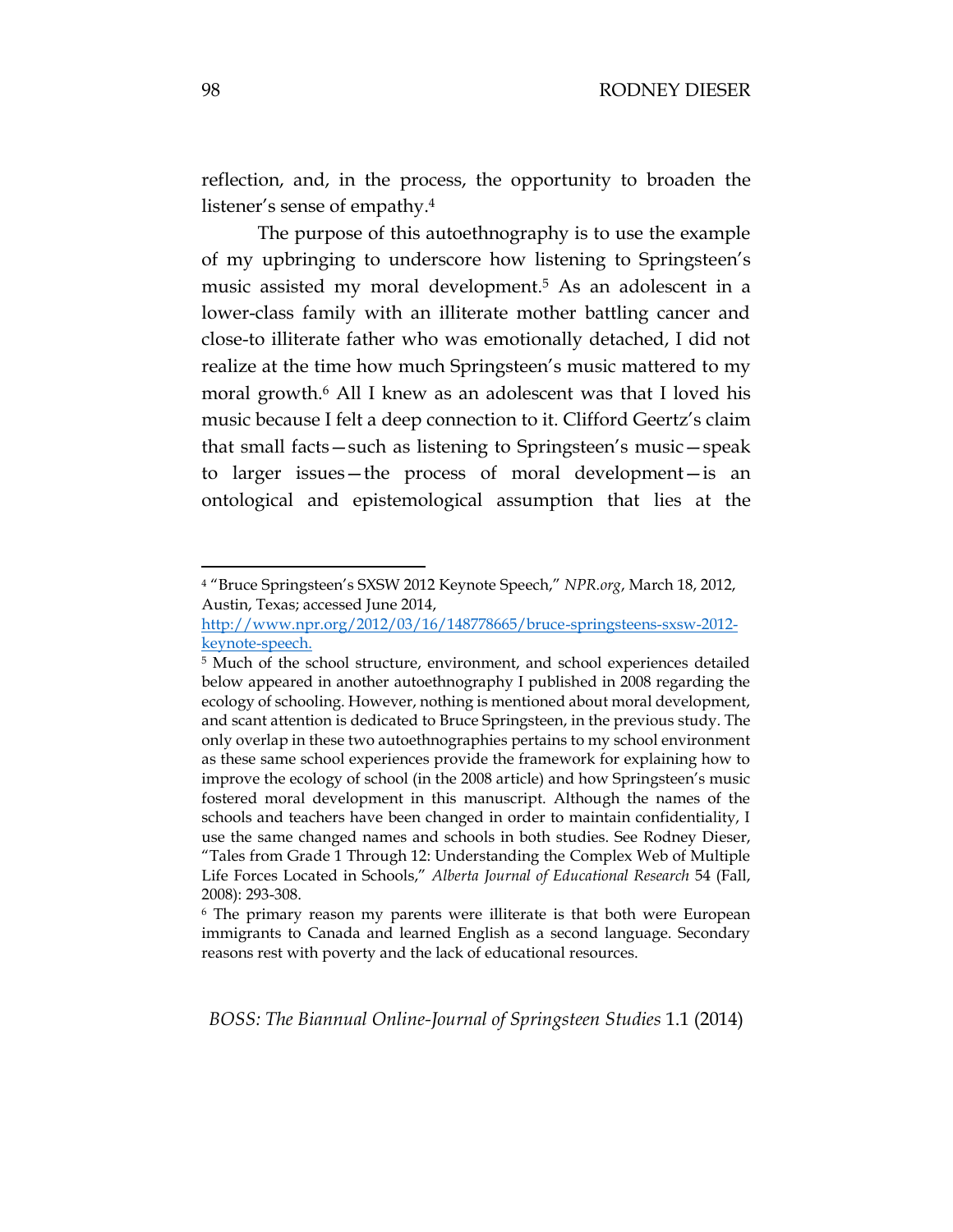reflection, and, in the process, the opportunity to broaden the listener's sense of empathy.<sup>4</sup>

The purpose of this autoethnography is to use the example of my upbringing to underscore how listening to Springsteen's music assisted my moral development.<sup>5</sup> As an adolescent in a lower-class family with an illiterate mother battling cancer and close-to illiterate father who was emotionally detached, I did not realize at the time how much Springsteen's music mattered to my moral growth.<sup>6</sup> All I knew as an adolescent was that I loved his music because I felt a deep connection to it. Clifford Geertz's claim that small facts—such as listening to Springsteen's music—speak to larger issues—the process of moral development—is an ontological and epistemological assumption that lies at the

*BOSS: The Biannual Online-Journal of Springsteen Studies* 1.1 (2014)

<sup>4</sup> "Bruce Springsteen's SXSW 2012 Keynote Speech," *NPR.org*, March 18, 2012, Austin, Texas; accessed June 2014,

[http://www.npr.org/2012/03/16/148778665/bruce-springsteens-sxsw-2012](http://www.npr.org/2012/03/16/148778665/bruce-springsteens-sxsw-2012-keynote-speech) [keynote-speech.](http://www.npr.org/2012/03/16/148778665/bruce-springsteens-sxsw-2012-keynote-speech) 

<sup>&</sup>lt;sup>5</sup> Much of the school structure, environment, and school experiences detailed below appeared in another autoethnography I published in 2008 regarding the ecology of schooling. However, nothing is mentioned about moral development, and scant attention is dedicated to Bruce Springsteen, in the previous study. The only overlap in these two autoethnographies pertains to my school environment as these same school experiences provide the framework for explaining how to improve the ecology of school (in the 2008 article) and how Springsteen's music fostered moral development in this manuscript. Although the names of the schools and teachers have been changed in order to maintain confidentiality, I use the same changed names and schools in both studies. See Rodney Dieser, "Tales from Grade 1 Through 12: Understanding the Complex Web of Multiple Life Forces Located in Schools," *Alberta Journal of Educational Research* 54 (Fall, 2008): 293-308.

<sup>6</sup> The primary reason my parents were illiterate is that both were European immigrants to Canada and learned English as a second language. Secondary reasons rest with poverty and the lack of educational resources.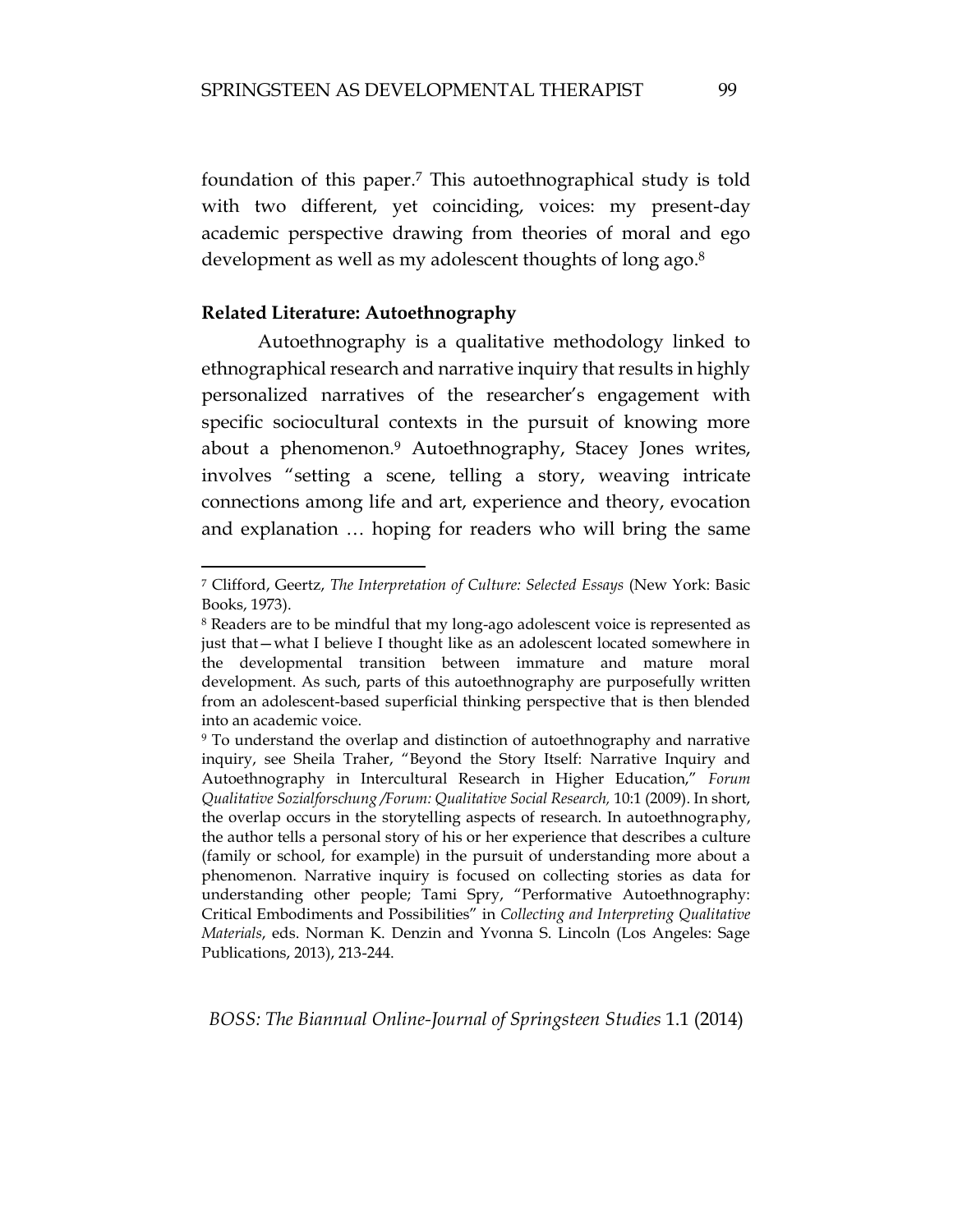foundation of this paper.<sup>7</sup> This autoethnographical study is told with two different, yet coinciding, voices: my present-day academic perspective drawing from theories of moral and ego development as well as my adolescent thoughts of long ago. 8

### **Related Literature: Autoethnography**

 $\overline{a}$ 

Autoethnography is a qualitative methodology linked to ethnographical research and narrative inquiry that results in highly personalized narratives of the researcher's engagement with specific sociocultural contexts in the pursuit of knowing more about a phenomenon.<sup>9</sup> Autoethnography, Stacey Jones writes, involves "setting a scene, telling a story, weaving intricate connections among life and art, experience and theory, evocation and explanation … hoping for readers who will bring the same

<sup>7</sup> Clifford, Geertz, *The Interpretation of Culture: Selected Essays* (New York: Basic Books, 1973).

<sup>8</sup> Readers are to be mindful that my long-ago adolescent voice is represented as just that—what I believe I thought like as an adolescent located somewhere in the developmental transition between immature and mature moral development. As such, parts of this autoethnography are purposefully written from an adolescent-based superficial thinking perspective that is then blended into an academic voice.

<sup>9</sup> To understand the overlap and distinction of autoethnography and narrative inquiry, see Sheila Traher, "Beyond the Story Itself: Narrative Inquiry and Autoethnography in Intercultural Research in Higher Education," *Forum Qualitative Sozialforschung /Forum: Qualitative Social Research,* 10:1 (2009). In short, the overlap occurs in the storytelling aspects of research. In autoethnography, the author tells a personal story of his or her experience that describes a culture (family or school, for example) in the pursuit of understanding more about a phenomenon. Narrative inquiry is focused on collecting stories as data for understanding other people; Tami Spry, "Performative Autoethnography: Critical Embodiments and Possibilities" in *Collecting and Interpreting Qualitative Materials*, eds. Norman K. Denzin and Yvonna S. Lincoln (Los Angeles: Sage Publications, 2013), 213-244.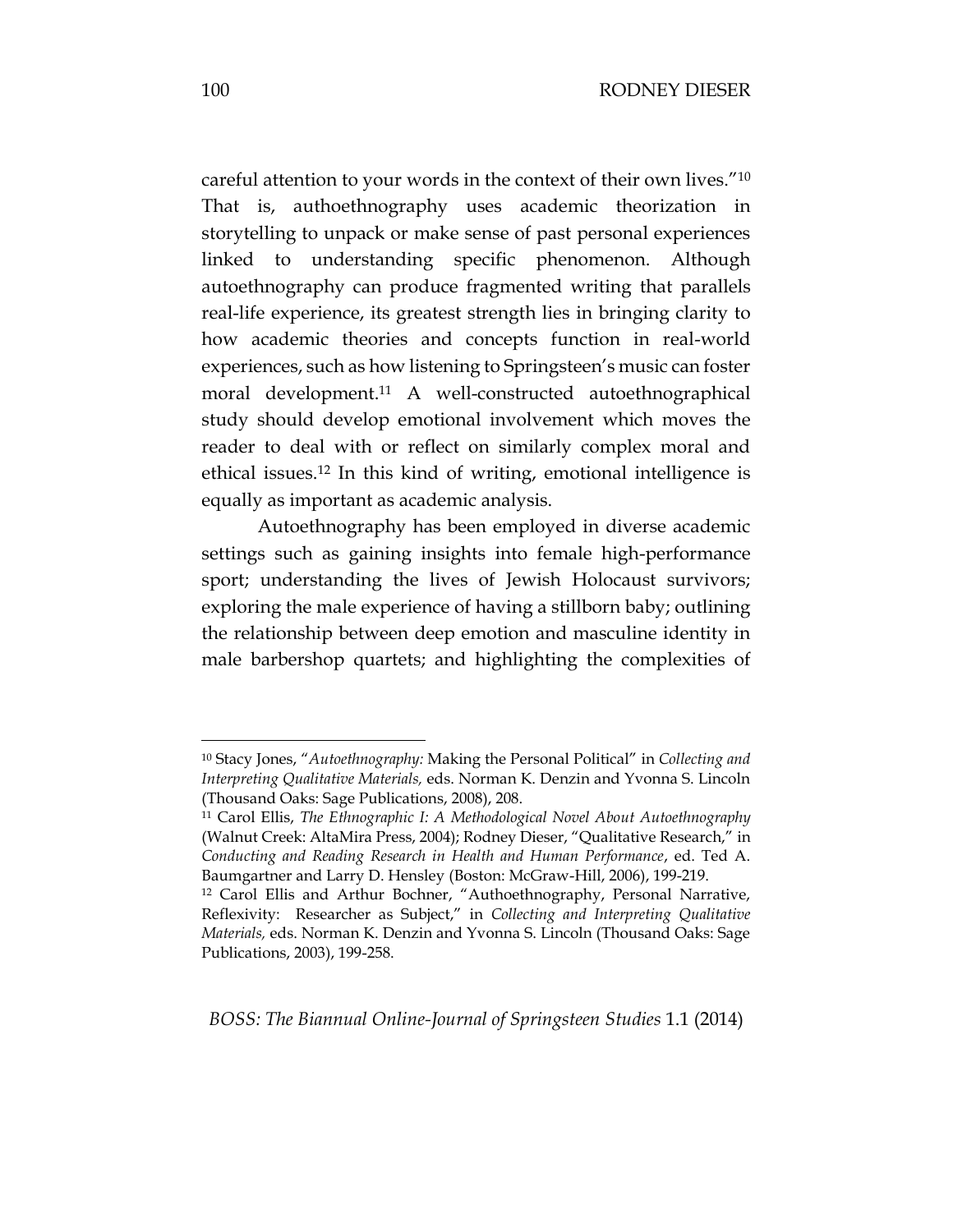careful attention to your words in the context of their own lives."<sup>10</sup> That is, authoethnography uses academic theorization in storytelling to unpack or make sense of past personal experiences linked to understanding specific phenomenon. Although autoethnography can produce fragmented writing that parallels real-life experience, its greatest strength lies in bringing clarity to how academic theories and concepts function in real-world experiences, such as how listening to Springsteen's music can foster moral development.<sup>11</sup> A well-constructed autoethnographical study should develop emotional involvement which moves the reader to deal with or reflect on similarly complex moral and ethical issues.<sup>12</sup> In this kind of writing, emotional intelligence is equally as important as academic analysis.

Autoethnography has been employed in diverse academic settings such as gaining insights into female high-performance sport; understanding the lives of Jewish Holocaust survivors; exploring the male experience of having a stillborn baby; outlining the relationship between deep emotion and masculine identity in male barbershop quartets; and highlighting the complexities of

*BOSS: The Biannual Online-Journal of Springsteen Studies* 1.1 (2014)

<sup>10</sup> Stacy Jones, "*Autoethnography:* Making the Personal Political" in *Collecting and Interpreting Qualitative Materials,* eds. Norman K. Denzin and Yvonna S. Lincoln (Thousand Oaks: Sage Publications, 2008), 208.

<sup>11</sup> Carol Ellis, *The Ethnographic I: A Methodological Novel About Autoethnography* (Walnut Creek: AltaMira Press, 2004); Rodney Dieser, "Qualitative Research," in *Conducting and Reading Research in Health and Human Performance*, ed. Ted A. Baumgartner and Larry D. Hensley (Boston: McGraw-Hill, 2006), 199-219.

<sup>12</sup> Carol Ellis and Arthur Bochner, "Authoethnography, Personal Narrative, Reflexivity: Researcher as Subject," in *Collecting and Interpreting Qualitative Materials,* eds. Norman K. Denzin and Yvonna S. Lincoln (Thousand Oaks: Sage Publications, 2003), 199-258.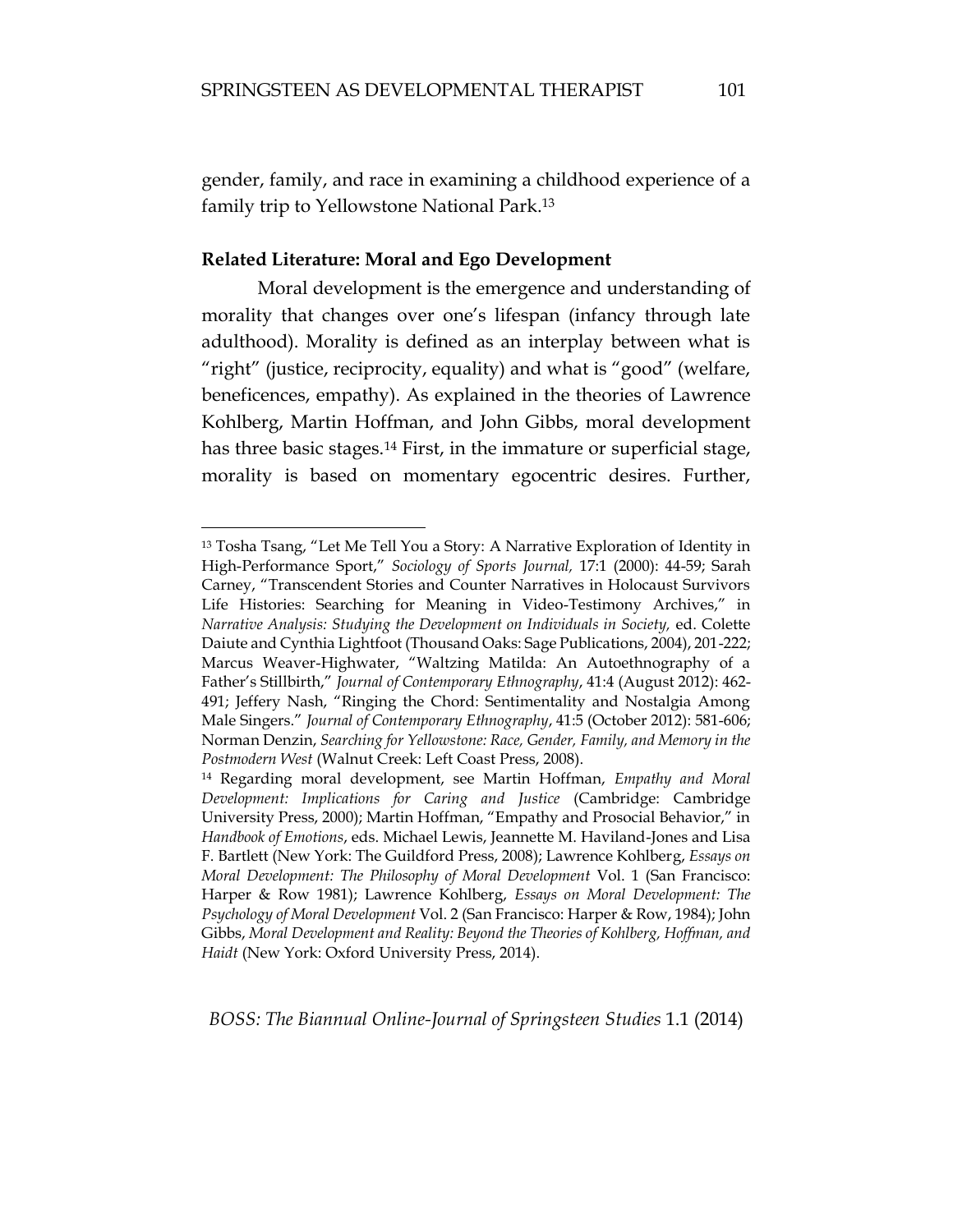gender, family, and race in examining a childhood experience of a family trip to Yellowstone National Park.<sup>13</sup>

## **Related Literature: Moral and Ego Development**

 $\overline{a}$ 

Moral development is the emergence and understanding of morality that changes over one's lifespan (infancy through late adulthood). Morality is defined as an interplay between what is "right" (justice, reciprocity, equality) and what is "good" (welfare, beneficences, empathy). As explained in the theories of Lawrence Kohlberg, Martin Hoffman, and John Gibbs, moral development has three basic stages.<sup>14</sup> First, in the immature or superficial stage, morality is based on momentary egocentric desires. Further,

<sup>13</sup> Tosha Tsang, "Let Me Tell You a Story: A Narrative Exploration of Identity in High-Performance Sport," *Sociology of Sports Journal,* 17:1 (2000): 44-59; Sarah Carney, "Transcendent Stories and Counter Narratives in Holocaust Survivors Life Histories: Searching for Meaning in Video-Testimony Archives," in *Narrative Analysis: Studying the Development on Individuals in Society,* ed. Colette Daiute and Cynthia Lightfoot (Thousand Oaks: Sage Publications, 2004), 201-222; Marcus Weaver-Highwater, "Waltzing Matilda: An Autoethnography of a Father's Stillbirth," *Journal of Contemporary Ethnography*, 41:4 (August 2012): 462- 491; Jeffery Nash, "Ringing the Chord: Sentimentality and Nostalgia Among Male Singers." *Journal of Contemporary Ethnography*, 41:5 (October 2012): 581-606; Norman Denzin, *Searching for Yellowstone: Race, Gender, Family, and Memory in the Postmodern West* (Walnut Creek: Left Coast Press, 2008).

<sup>14</sup> Regarding moral development, see Martin Hoffman, *Empathy and Moral Development: Implications for Caring and Justice* (Cambridge: Cambridge University Press, 2000); Martin Hoffman, "Empathy and Prosocial Behavior," in *Handbook of Emotions*, eds. Michael Lewis, Jeannette M. Haviland-Jones and Lisa F. Bartlett (New York: The Guildford Press, 2008); Lawrence Kohlberg, *Essays on Moral Development: The Philosophy of Moral Development* Vol. 1 (San Francisco: Harper & Row 1981); Lawrence Kohlberg, *Essays on Moral Development: The Psychology of Moral Development* Vol. 2 (San Francisco: Harper & Row, 1984); John Gibbs, *Moral Development and Reality: Beyond the Theories of Kohlberg, Hoffman, and Haidt* (New York: Oxford University Press, 2014).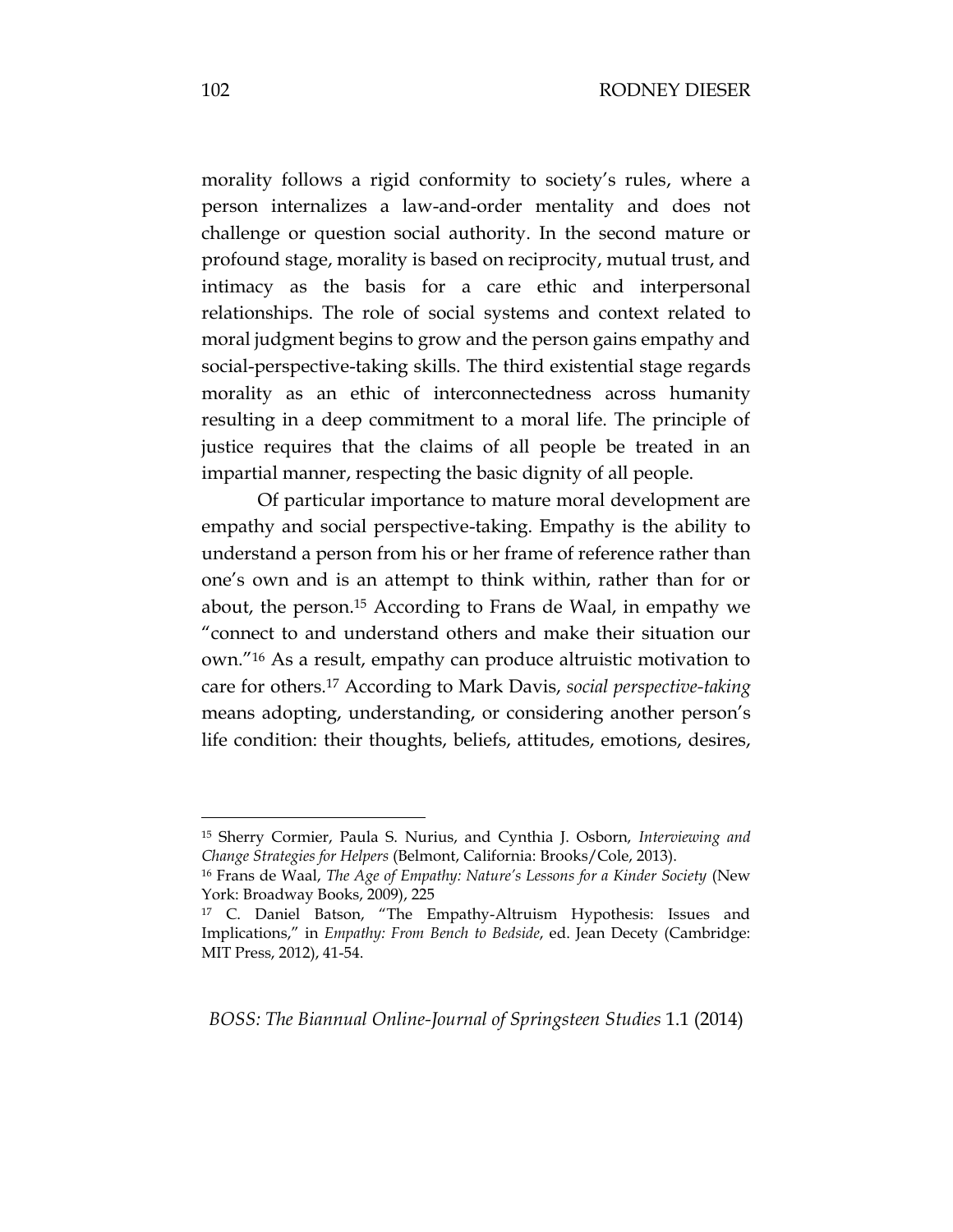morality follows a rigid conformity to society's rules, where a person internalizes a law-and-order mentality and does not challenge or question social authority. In the second mature or profound stage, morality is based on reciprocity, mutual trust, and intimacy as the basis for a care ethic and interpersonal relationships. The role of social systems and context related to moral judgment begins to grow and the person gains empathy and social-perspective-taking skills. The third existential stage regards morality as an ethic of interconnectedness across humanity resulting in a deep commitment to a moral life. The principle of justice requires that the claims of all people be treated in an impartial manner, respecting the basic dignity of all people.

Of particular importance to mature moral development are empathy and social perspective-taking. Empathy is the ability to understand a person from his or her frame of reference rather than one's own and is an attempt to think within, rather than for or about, the person.<sup>15</sup> According to Frans de Waal, in empathy we "connect to and understand others and make their situation our own."<sup>16</sup> As a result, empathy can produce altruistic motivation to care for others.<sup>17</sup> According to Mark Davis, *social perspective-taking* means adopting, understanding, or considering another person's life condition: their thoughts, beliefs, attitudes, emotions, desires,

*BOSS: The Biannual Online-Journal of Springsteen Studies* 1.1 (2014)

<sup>15</sup> Sherry Cormier, Paula S. Nurius, and Cynthia J. Osborn, *Interviewing and Change Strategies for Helpers* (Belmont, California: Brooks/Cole, 2013).

<sup>16</sup> Frans de Waal, *The Age of Empathy: Nature's Lessons for a Kinder Society* (New York: Broadway Books, 2009), 225

<sup>17</sup> C. Daniel Batson, "The Empathy-Altruism Hypothesis: Issues and Implications," in *Empathy: From Bench to Bedside*, ed. Jean Decety (Cambridge: MIT Press, 2012), 41-54.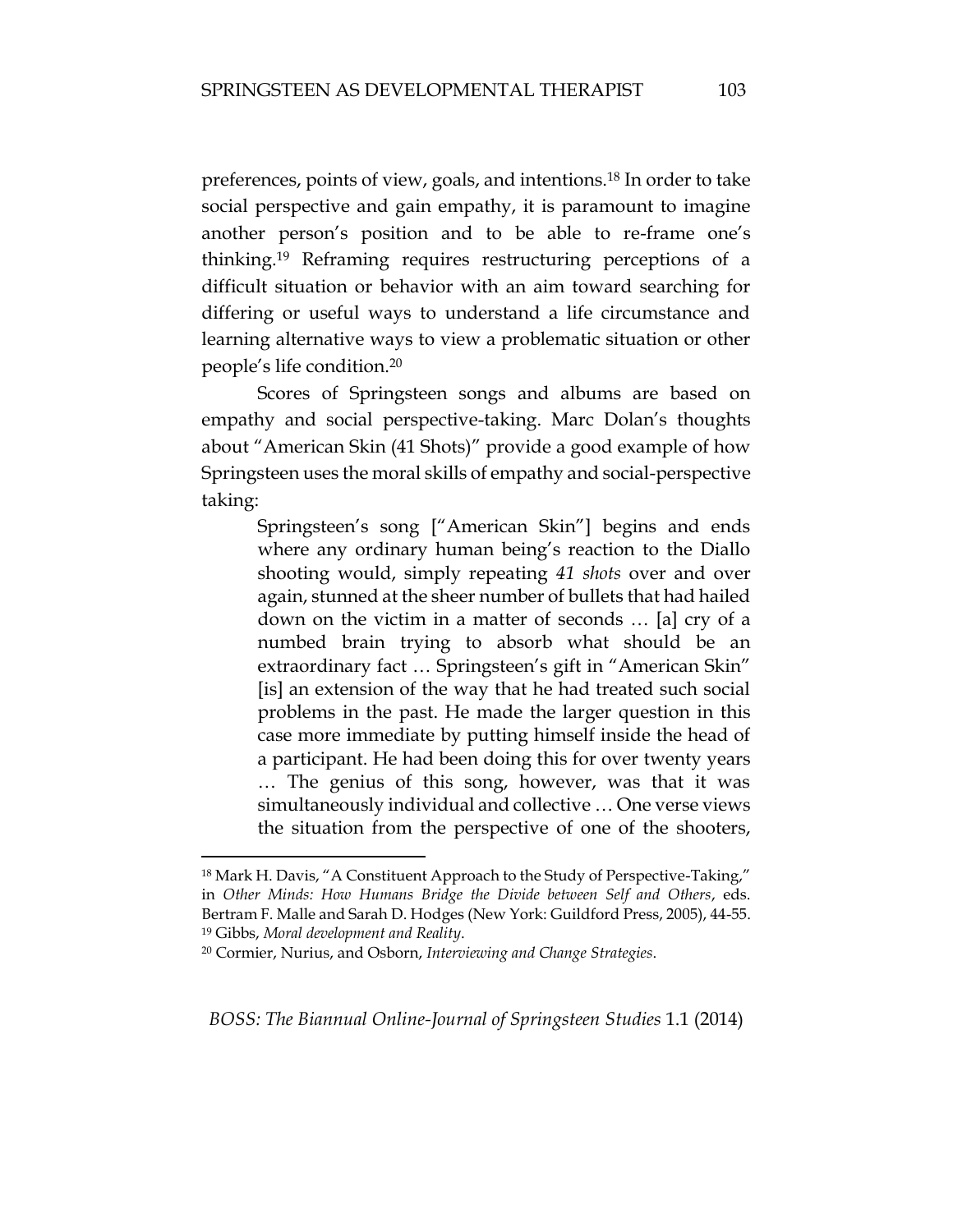preferences, points of view, goals, and intentions.<sup>18</sup> In order to take social perspective and gain empathy, it is paramount to imagine another person's position and to be able to re-frame one's thinking.<sup>19</sup> Reframing requires restructuring perceptions of a difficult situation or behavior with an aim toward searching for differing or useful ways to understand a life circumstance and learning alternative ways to view a problematic situation or other people's life condition.<sup>20</sup>

Scores of Springsteen songs and albums are based on empathy and social perspective-taking. Marc Dolan's thoughts about "American Skin (41 Shots)" provide a good example of how Springsteen uses the moral skills of empathy and social-perspective taking:

Springsteen's song ["American Skin"] begins and ends where any ordinary human being's reaction to the Diallo shooting would, simply repeating *41 shots* over and over again, stunned at the sheer number of bullets that had hailed down on the victim in a matter of seconds … [a] cry of a numbed brain trying to absorb what should be an extraordinary fact … Springsteen's gift in "American Skin" [is] an extension of the way that he had treated such social problems in the past. He made the larger question in this case more immediate by putting himself inside the head of a participant. He had been doing this for over twenty years … The genius of this song, however, was that it was simultaneously individual and collective … One verse views the situation from the perspective of one of the shooters,

 $\overline{a}$ 

<sup>18</sup> Mark H. Davis, "A Constituent Approach to the Study of Perspective-Taking," in *Other Minds: How Humans Bridge the Divide between Self and Others*, eds. Bertram F. Malle and Sarah D. Hodges (New York: Guildford Press, 2005), 44-55. <sup>19</sup> Gibbs, *Moral development and Reality*.

<sup>20</sup> Cormier, Nurius, and Osborn, *Interviewing and Change Strategies*.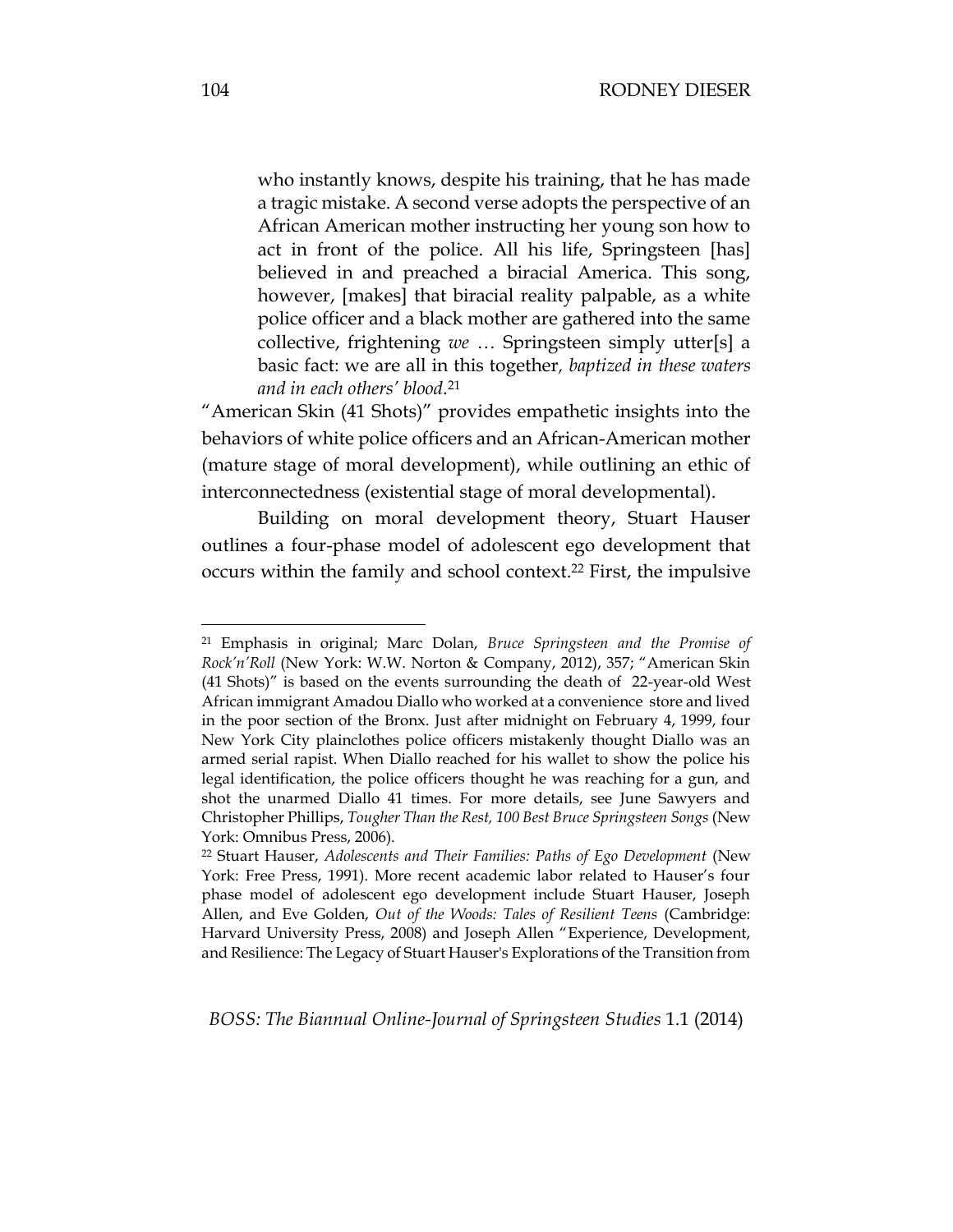who instantly knows, despite his training, that he has made a tragic mistake. A second verse adopts the perspective of an African American mother instructing her young son how to act in front of the police. All his life, Springsteen [has] believed in and preached a biracial America. This song, however, [makes] that biracial reality palpable, as a white police officer and a black mother are gathered into the same collective, frightening *we* … Springsteen simply utter[s] a basic fact: we are all in this together*, baptized in these waters and in each others' blood*. 21

"American Skin (41 Shots)" provides empathetic insights into the behaviors of white police officers and an African-American mother (mature stage of moral development), while outlining an ethic of interconnectedness (existential stage of moral developmental).

Building on moral development theory, Stuart Hauser outlines a four-phase model of adolescent ego development that occurs within the family and school context.<sup>22</sup> First, the impulsive

<sup>21</sup> Emphasis in original; Marc Dolan, *Bruce Springsteen and the Promise of Rock'n'Roll* (New York: W.W. Norton & Company, 2012), 357; "American Skin (41 Shots)" is based on the events surrounding the death of 22-year-old West African immigrant Amadou Diallo who worked at a convenience store and lived in the poor section of the Bronx. Just after midnight on February 4, 1999, four New York City plainclothes police officers mistakenly thought Diallo was an armed serial rapist. When Diallo reached for his wallet to show the police his legal identification, the police officers thought he was reaching for a gun, and shot the unarmed Diallo 41 times. For more details, see June Sawyers and Christopher Phillips, *Tougher Than the Rest, 100 Best Bruce Springsteen Songs* (New York: Omnibus Press, 2006).

<sup>22</sup> Stuart Hauser, *Adolescents and Their Families: Paths of Ego Development* (New York: Free Press, 1991). More recent academic labor related to Hauser's four phase model of adolescent ego development include Stuart Hauser, Joseph Allen, and Eve Golden, *Out of the Woods: Tales of Resilient Teens* (Cambridge: Harvard University Press, 2008) and Joseph Allen "Experience, Development, and Resilience: The Legacy of Stuart Hauser's Explorations of the Transition from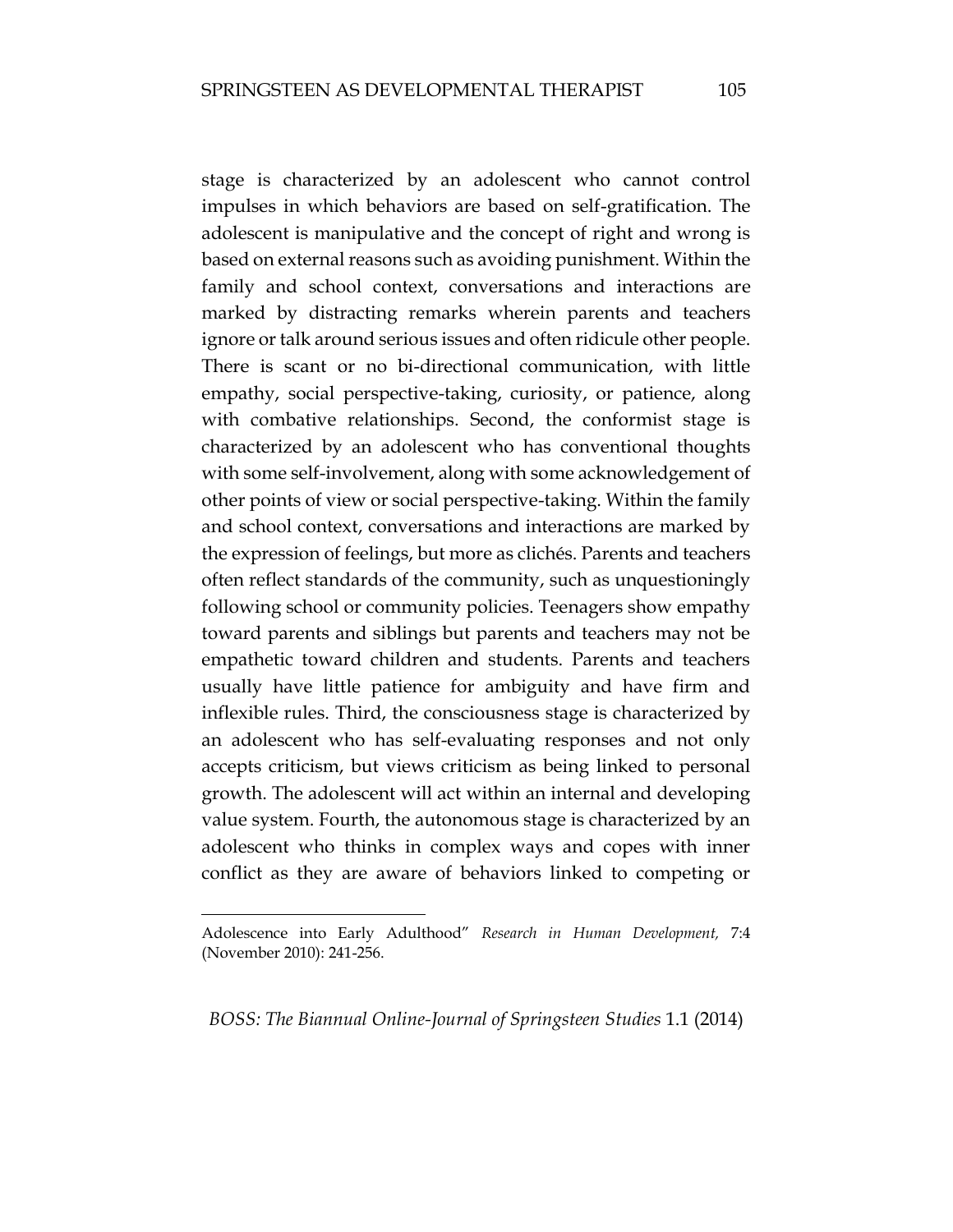stage is characterized by an adolescent who cannot control impulses in which behaviors are based on self-gratification. The adolescent is manipulative and the concept of right and wrong is based on external reasons such as avoiding punishment. Within the family and school context, conversations and interactions are marked by distracting remarks wherein parents and teachers ignore or talk around serious issues and often ridicule other people. There is scant or no bi-directional communication, with little empathy, social perspective-taking, curiosity, or patience, along with combative relationships. Second, the conformist stage is characterized by an adolescent who has conventional thoughts with some self-involvement, along with some acknowledgement of other points of view or social perspective-taking. Within the family and school context, conversations and interactions are marked by the expression of feelings, but more as clichés. Parents and teachers often reflect standards of the community, such as unquestioningly following school or community policies. Teenagers show empathy toward parents and siblings but parents and teachers may not be empathetic toward children and students. Parents and teachers usually have little patience for ambiguity and have firm and inflexible rules. Third, the consciousness stage is characterized by an adolescent who has self-evaluating responses and not only accepts criticism, but views criticism as being linked to personal growth. The adolescent will act within an internal and developing value system. Fourth, the autonomous stage is characterized by an adolescent who thinks in complex ways and copes with inner conflict as they are aware of behaviors linked to competing or

 $\overline{a}$ 

Adolescence into Early Adulthood" *Research in Human Development,* 7:4 (November 2010): 241-256.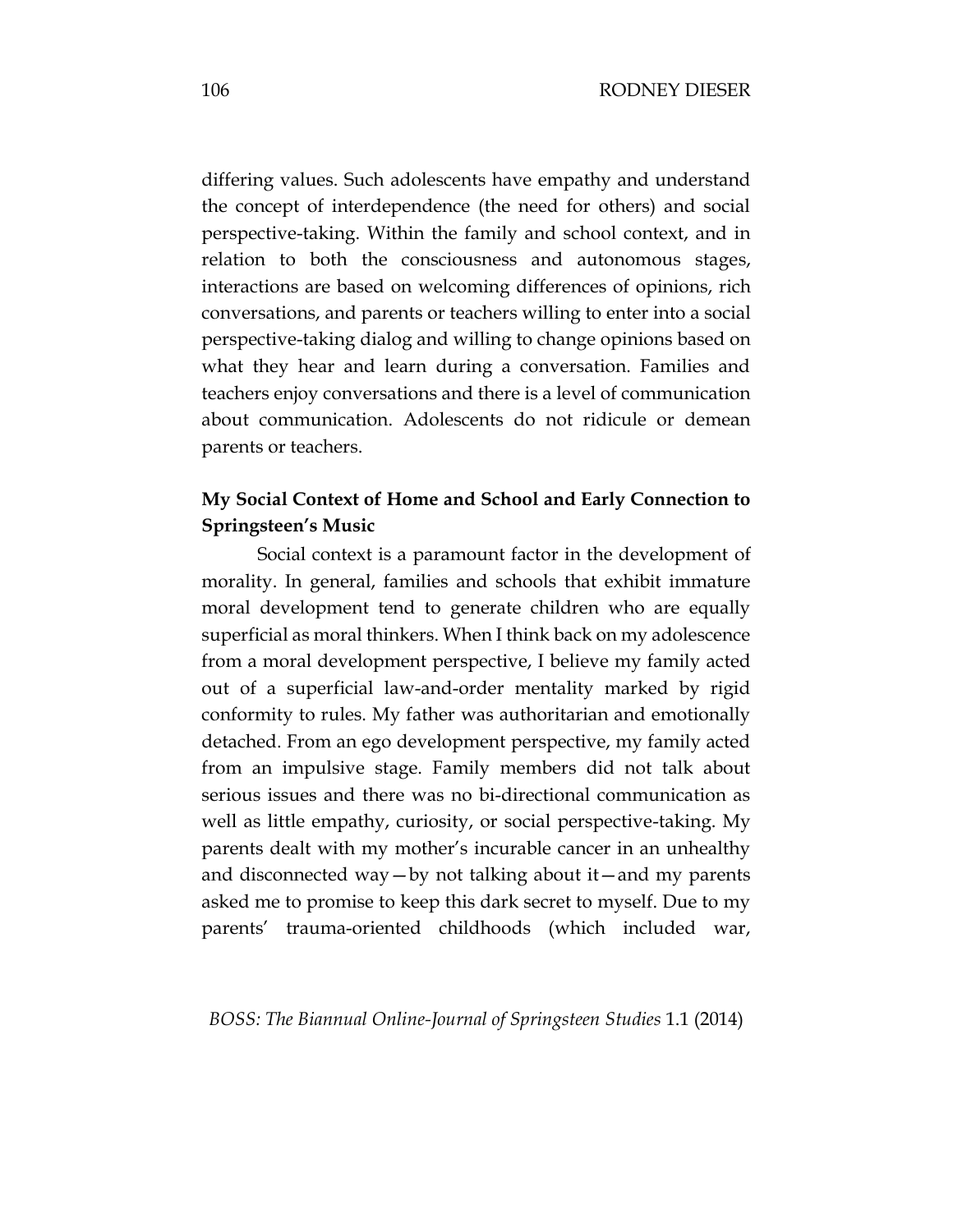differing values. Such adolescents have empathy and understand the concept of interdependence (the need for others) and social perspective-taking. Within the family and school context, and in relation to both the consciousness and autonomous stages, interactions are based on welcoming differences of opinions, rich conversations, and parents or teachers willing to enter into a social perspective-taking dialog and willing to change opinions based on what they hear and learn during a conversation. Families and teachers enjoy conversations and there is a level of communication about communication. Adolescents do not ridicule or demean parents or teachers.

# **My Social Context of Home and School and Early Connection to Springsteen's Music**

Social context is a paramount factor in the development of morality. In general, families and schools that exhibit immature moral development tend to generate children who are equally superficial as moral thinkers. When I think back on my adolescence from a moral development perspective, I believe my family acted out of a superficial law-and-order mentality marked by rigid conformity to rules. My father was authoritarian and emotionally detached. From an ego development perspective, my family acted from an impulsive stage. Family members did not talk about serious issues and there was no bi-directional communication as well as little empathy, curiosity, or social perspective-taking. My parents dealt with my mother's incurable cancer in an unhealthy and disconnected way—by not talking about it—and my parents asked me to promise to keep this dark secret to myself. Due to my parents' trauma-oriented childhoods (which included war,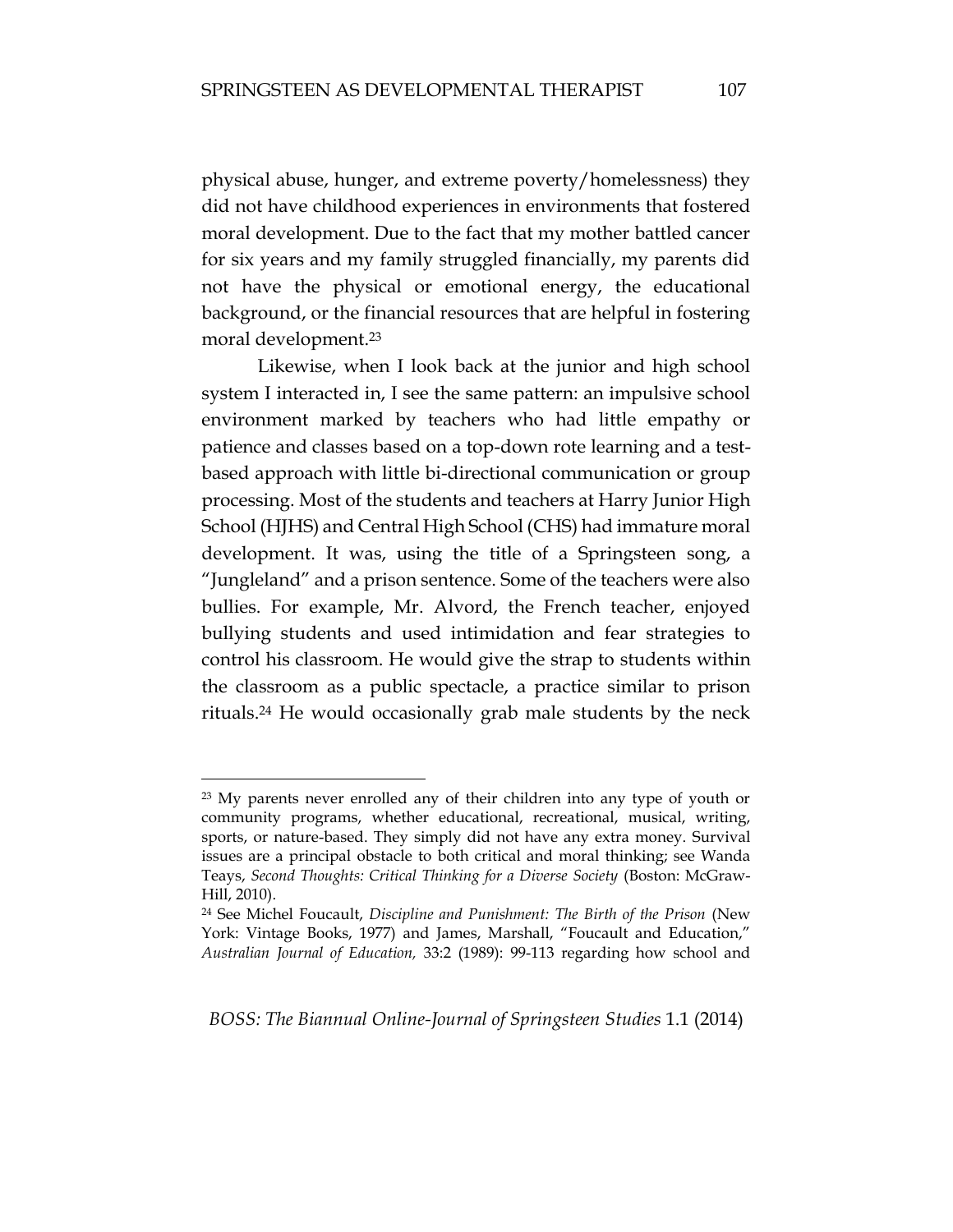physical abuse, hunger, and extreme poverty/homelessness) they did not have childhood experiences in environments that fostered moral development. Due to the fact that my mother battled cancer for six years and my family struggled financially, my parents did not have the physical or emotional energy, the educational background, or the financial resources that are helpful in fostering moral development.<sup>23</sup>

Likewise, when I look back at the junior and high school system I interacted in, I see the same pattern: an impulsive school environment marked by teachers who had little empathy or patience and classes based on a top-down rote learning and a testbased approach with little bi-directional communication or group processing. Most of the students and teachers at Harry Junior High School (HJHS) and Central High School (CHS) had immature moral development. It was, using the title of a Springsteen song, a "Jungleland" and a prison sentence. Some of the teachers were also bullies. For example, Mr. Alvord, the French teacher, enjoyed bullying students and used intimidation and fear strategies to control his classroom. He would give the strap to students within the classroom as a public spectacle, a practice similar to prison rituals.<sup>24</sup> He would occasionally grab male students by the neck

<sup>&</sup>lt;sup>23</sup> My parents never enrolled any of their children into any type of youth or community programs, whether educational, recreational, musical, writing, sports, or nature-based. They simply did not have any extra money. Survival issues are a principal obstacle to both critical and moral thinking; see Wanda Teays, *Second Thoughts: Critical Thinking for a Diverse Society* (Boston: McGraw-Hill, 2010).

<sup>24</sup> See Michel Foucault, *Discipline and Punishment: The Birth of the Prison* (New York: Vintage Books, 1977) and James, Marshall, "Foucault and Education," *Australian Journal of Education,* 33:2 (1989): 99-113 regarding how school and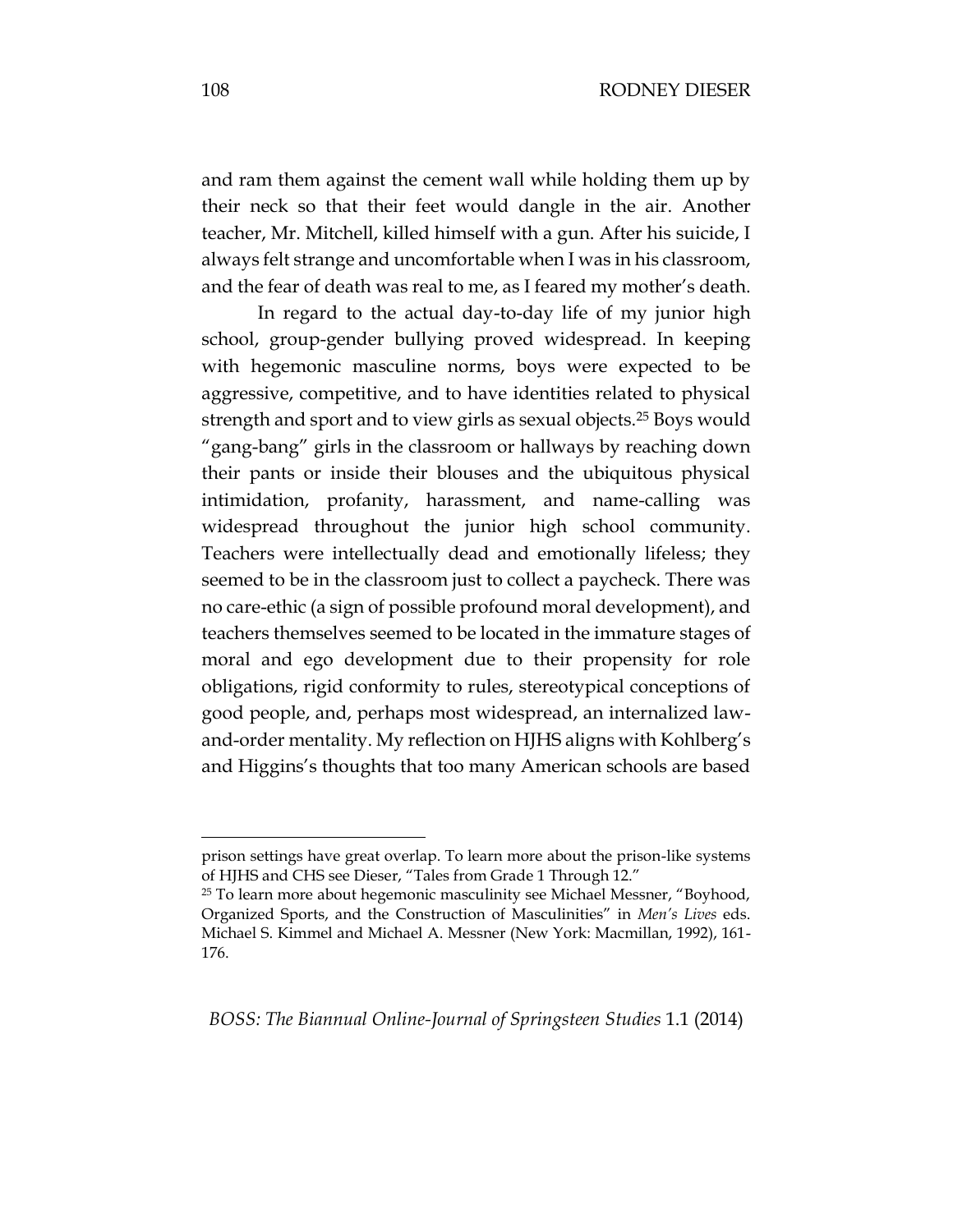and ram them against the cement wall while holding them up by their neck so that their feet would dangle in the air. Another teacher, Mr. Mitchell, killed himself with a gun. After his suicide, I always felt strange and uncomfortable when I was in his classroom, and the fear of death was real to me, as I feared my mother's death.

In regard to the actual day-to-day life of my junior high school, group-gender bullying proved widespread. In keeping with hegemonic masculine norms, boys were expected to be aggressive, competitive, and to have identities related to physical strength and sport and to view girls as sexual objects.<sup>25</sup> Boys would "gang-bang" girls in the classroom or hallways by reaching down their pants or inside their blouses and the ubiquitous physical intimidation, profanity, harassment, and name-calling was widespread throughout the junior high school community. Teachers were intellectually dead and emotionally lifeless; they seemed to be in the classroom just to collect a paycheck. There was no care-ethic (a sign of possible profound moral development), and teachers themselves seemed to be located in the immature stages of moral and ego development due to their propensity for role obligations, rigid conformity to rules, stereotypical conceptions of good people, and, perhaps most widespread, an internalized lawand-order mentality. My reflection on HJHS aligns with Kohlberg's and Higgins's thoughts that too many American schools are based

prison settings have great overlap. To learn more about the prison-like systems of HJHS and CHS see Dieser, "Tales from Grade 1 Through 12."

<sup>&</sup>lt;sup>25</sup> To learn more about hegemonic masculinity see Michael Messner, "Boyhood, Organized Sports, and the Construction of Masculinities" in *Men's Lives* eds. Michael S. Kimmel and Michael A. Messner (New York: Macmillan, 1992), 161- 176.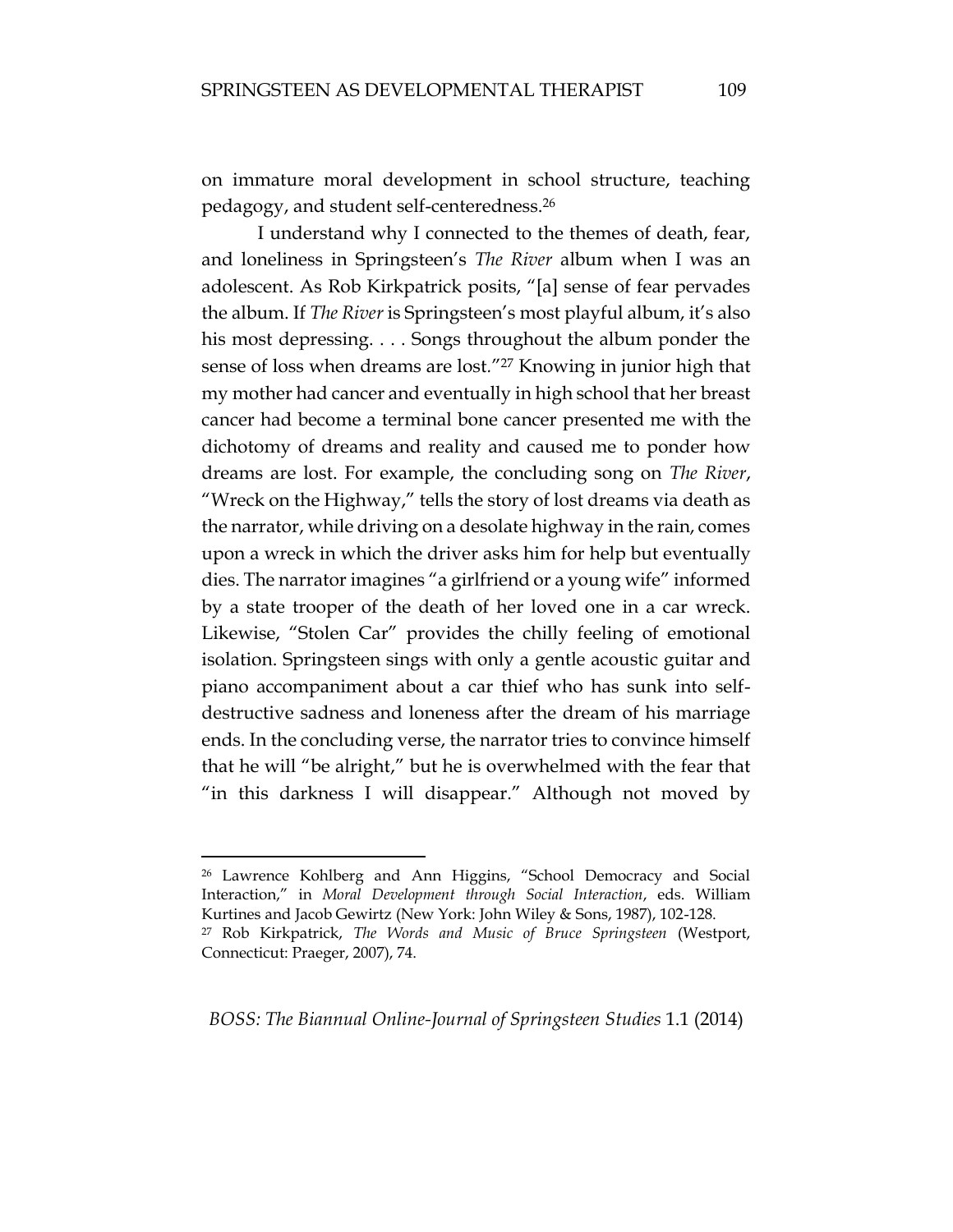on immature moral development in school structure, teaching pedagogy, and student self-centeredness.<sup>26</sup>

I understand why I connected to the themes of death, fear, and loneliness in Springsteen's *The River* album when I was an adolescent. As Rob Kirkpatrick posits, "[a] sense of fear pervades the album. If *The River* is Springsteen's most playful album, it's also his most depressing. . . . Songs throughout the album ponder the sense of loss when dreams are lost*.*"<sup>27</sup> Knowing in junior high that my mother had cancer and eventually in high school that her breast cancer had become a terminal bone cancer presented me with the dichotomy of dreams and reality and caused me to ponder how dreams are lost. For example, the concluding song on *The River*, "Wreck on the Highway," tells the story of lost dreams via death as the narrator, while driving on a desolate highway in the rain, comes upon a wreck in which the driver asks him for help but eventually dies. The narrator imagines "a girlfriend or a young wife" informed by a state trooper of the death of her loved one in a car wreck. Likewise, "Stolen Car" provides the chilly feeling of emotional isolation. Springsteen sings with only a gentle acoustic guitar and piano accompaniment about a car thief who has sunk into selfdestructive sadness and loneness after the dream of his marriage ends. In the concluding verse, the narrator tries to convince himself that he will "be alright," but he is overwhelmed with the fear that "in this darkness I will disappear." Although not moved by

 $\overline{a}$ 

<sup>26</sup> Lawrence Kohlberg and Ann Higgins, "School Democracy and Social Interaction," in *Moral Development through Social Interaction*, eds. William Kurtines and Jacob Gewirtz (New York: John Wiley & Sons, 1987), 102-128.

<sup>27</sup> Rob Kirkpatrick, *The Words and Music of Bruce Springsteen* (Westport, Connecticut: Praeger, 2007), 74.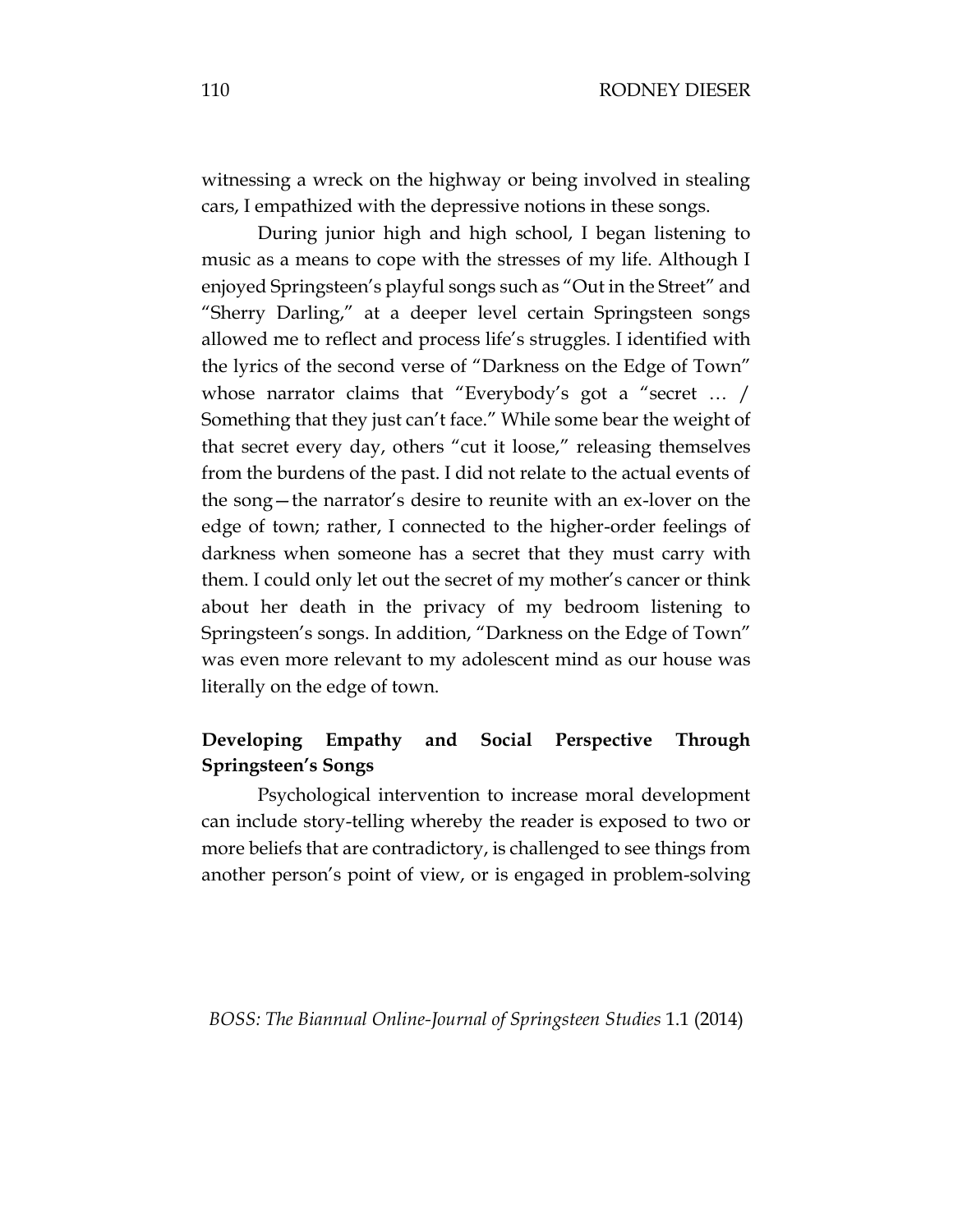witnessing a wreck on the highway or being involved in stealing cars, I empathized with the depressive notions in these songs.

During junior high and high school, I began listening to music as a means to cope with the stresses of my life. Although I enjoyed Springsteen's playful songs such as "Out in the Street" and "Sherry Darling," at a deeper level certain Springsteen songs allowed me to reflect and process life's struggles. I identified with the lyrics of the second verse of "Darkness on the Edge of Town" whose narrator claims that "Everybody's got a "secret … / Something that they just can't face." While some bear the weight of that secret every day, others "cut it loose," releasing themselves from the burdens of the past. I did not relate to the actual events of the song—the narrator's desire to reunite with an ex-lover on the edge of town; rather, I connected to the higher-order feelings of darkness when someone has a secret that they must carry with them. I could only let out the secret of my mother's cancer or think about her death in the privacy of my bedroom listening to Springsteen's songs. In addition, "Darkness on the Edge of Town" was even more relevant to my adolescent mind as our house was literally on the edge of town.

# **Developing Empathy and Social Perspective Through Springsteen's Songs**

Psychological intervention to increase moral development can include story-telling whereby the reader is exposed to two or more beliefs that are contradictory, is challenged to see things from another person's point of view, or is engaged in problem-solving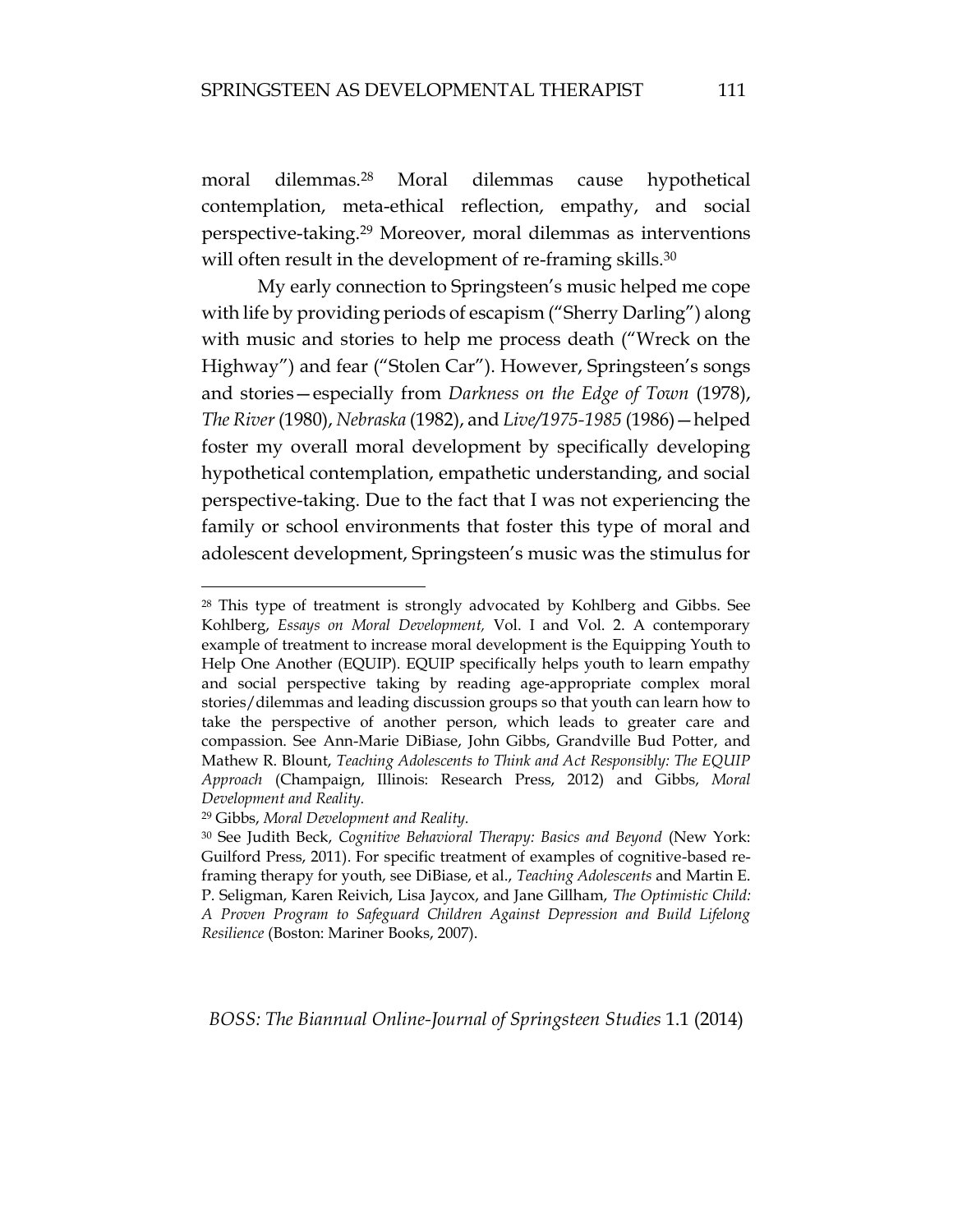moral dilemmas.<sup>28</sup> Moral dilemmas cause hypothetical contemplation, meta-ethical reflection, empathy, and social perspective-taking.<sup>29</sup> Moreover, moral dilemmas as interventions will often result in the development of re-framing skills.<sup>30</sup>

My early connection to Springsteen's music helped me cope with life by providing periods of escapism ("Sherry Darling") along with music and stories to help me process death ("Wreck on the Highway") and fear ("Stolen Car"). However, Springsteen's songs and stories—especially from *Darkness on the Edge of Town* (1978), *The River* (1980), *Nebraska* (1982), and *Live/1975-1985* (1986)—helped foster my overall moral development by specifically developing hypothetical contemplation, empathetic understanding, and social perspective-taking. Due to the fact that I was not experiencing the family or school environments that foster this type of moral and adolescent development, Springsteen's music was the stimulus for

<sup>29</sup> Gibbs, *Moral Development and Reality.*

 $\overline{a}$ 

<sup>28</sup> This type of treatment is strongly advocated by Kohlberg and Gibbs. See Kohlberg, *Essays on Moral Development,* Vol. I and Vol. 2. A contemporary example of treatment to increase moral development is the Equipping Youth to Help One Another (EQUIP). EQUIP specifically helps youth to learn empathy and social perspective taking by reading age-appropriate complex moral stories/dilemmas and leading discussion groups so that youth can learn how to take the perspective of another person, which leads to greater care and compassion. See Ann-Marie DiBiase, John Gibbs, Grandville Bud Potter, and Mathew R. Blount, *Teaching Adolescents to Think and Act Responsibly: The EQUIP Approach* (Champaign, Illinois: Research Press, 2012) and Gibbs, *Moral Development and Reality.*

<sup>30</sup> See Judith Beck, *Cognitive Behavioral Therapy: Basics and Beyond* (New York: Guilford Press, 2011). For specific treatment of examples of cognitive-based reframing therapy for youth, see DiBiase, et al., *Teaching Adolescents* and Martin E. P. Seligman, Karen Reivich, Lisa Jaycox, and Jane Gillham, *The Optimistic Child: A Proven Program to Safeguard Children Against Depression and Build Lifelong Resilience* (Boston: Mariner Books, 2007).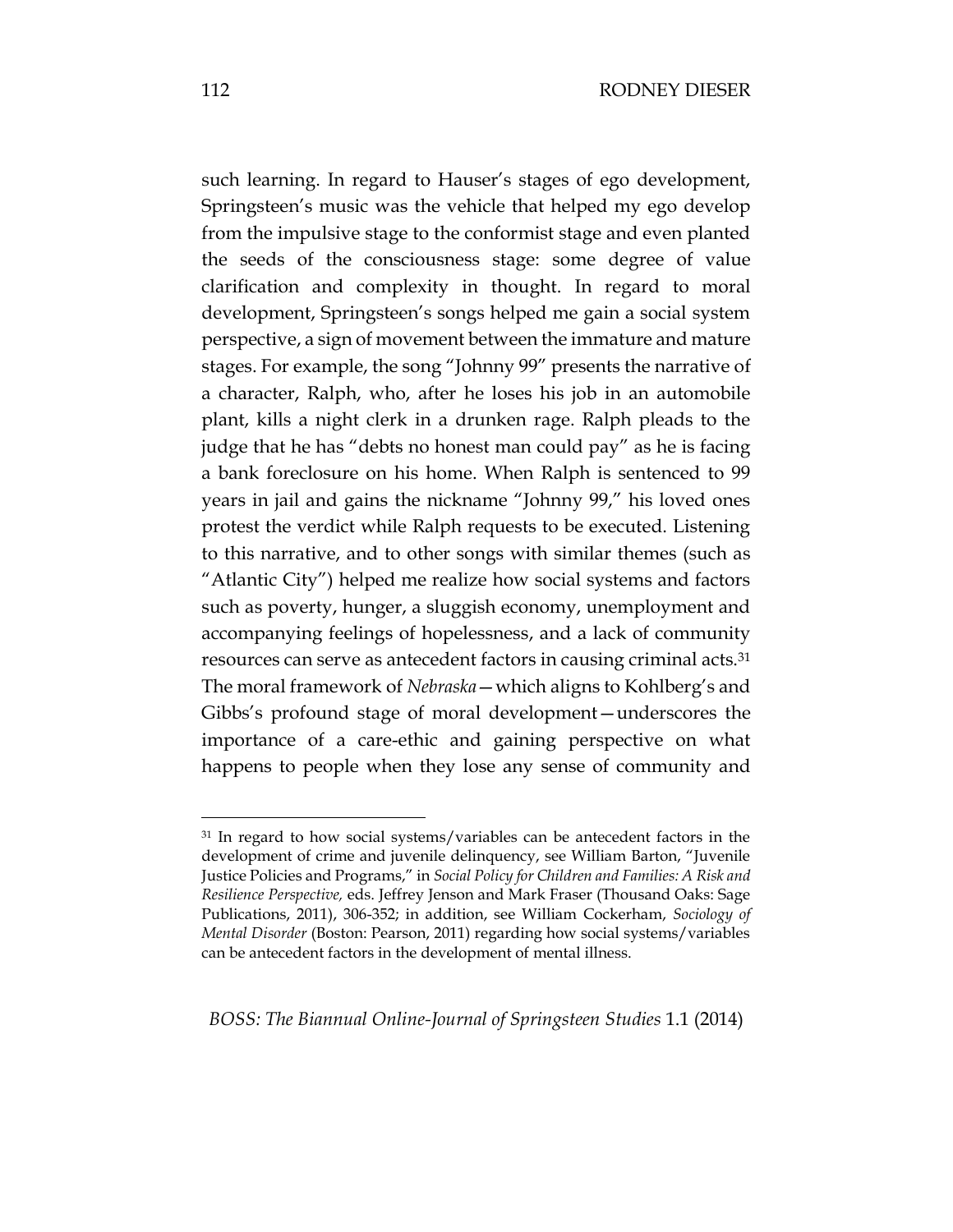such learning. In regard to Hauser's stages of ego development, Springsteen's music was the vehicle that helped my ego develop from the impulsive stage to the conformist stage and even planted the seeds of the consciousness stage: some degree of value clarification and complexity in thought. In regard to moral development, Springsteen's songs helped me gain a social system perspective, a sign of movement between the immature and mature stages. For example, the song "Johnny 99" presents the narrative of a character, Ralph, who, after he loses his job in an automobile plant, kills a night clerk in a drunken rage. Ralph pleads to the judge that he has "debts no honest man could pay" as he is facing a bank foreclosure on his home. When Ralph is sentenced to 99 years in jail and gains the nickname "Johnny 99," his loved ones protest the verdict while Ralph requests to be executed. Listening to this narrative, and to other songs with similar themes (such as "Atlantic City") helped me realize how social systems and factors such as poverty, hunger, a sluggish economy, unemployment and accompanying feelings of hopelessness, and a lack of community resources can serve as antecedent factors in causing criminal acts.<sup>31</sup> The moral framework of *Nebraska*—which aligns to Kohlberg's and Gibbs's profound stage of moral development—underscores the importance of a care-ethic and gaining perspective on what happens to people when they lose any sense of community and

*BOSS: The Biannual Online-Journal of Springsteen Studies* 1.1 (2014)

<sup>&</sup>lt;sup>31</sup> In regard to how social systems/variables can be antecedent factors in the development of crime and juvenile delinquency, see William Barton, "Juvenile Justice Policies and Programs," in *Social Policy for Children and Families: A Risk and Resilience Perspective,* eds. Jeffrey Jenson and Mark Fraser (Thousand Oaks: Sage Publications, 2011), 306-352; in addition, see William Cockerham, *Sociology of Mental Disorder* (Boston: Pearson, 2011) regarding how social systems/variables can be antecedent factors in the development of mental illness.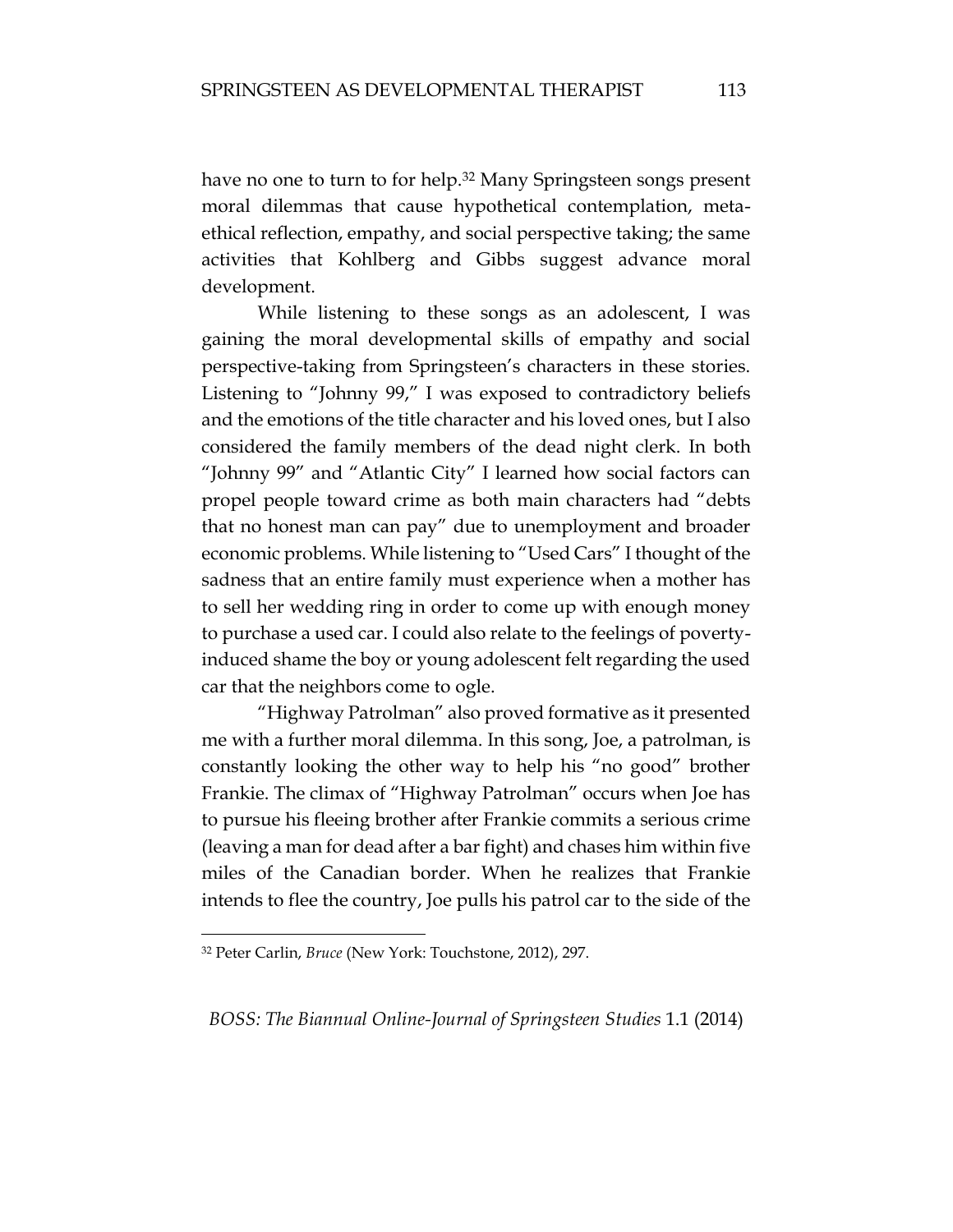have no one to turn to for help.<sup>32</sup> Many Springsteen songs present moral dilemmas that cause hypothetical contemplation, metaethical reflection, empathy, and social perspective taking; the same activities that Kohlberg and Gibbs suggest advance moral development.

While listening to these songs as an adolescent, I was gaining the moral developmental skills of empathy and social perspective-taking from Springsteen's characters in these stories. Listening to "Johnny 99," I was exposed to contradictory beliefs and the emotions of the title character and his loved ones, but I also considered the family members of the dead night clerk. In both "Johnny 99" and "Atlantic City" I learned how social factors can propel people toward crime as both main characters had "debts that no honest man can pay" due to unemployment and broader economic problems. While listening to "Used Cars" I thought of the sadness that an entire family must experience when a mother has to sell her wedding ring in order to come up with enough money to purchase a used car. I could also relate to the feelings of povertyinduced shame the boy or young adolescent felt regarding the used car that the neighbors come to ogle.

"Highway Patrolman" also proved formative as it presented me with a further moral dilemma. In this song, Joe, a patrolman, is constantly looking the other way to help his "no good" brother Frankie. The climax of "Highway Patrolman" occurs when Joe has to pursue his fleeing brother after Frankie commits a serious crime (leaving a man for dead after a bar fight) and chases him within five miles of the Canadian border. When he realizes that Frankie intends to flee the country, Joe pulls his patrol car to the side of the

 $\overline{a}$ 

<sup>32</sup> Peter Carlin, *Bruce* (New York: Touchstone, 2012), 297.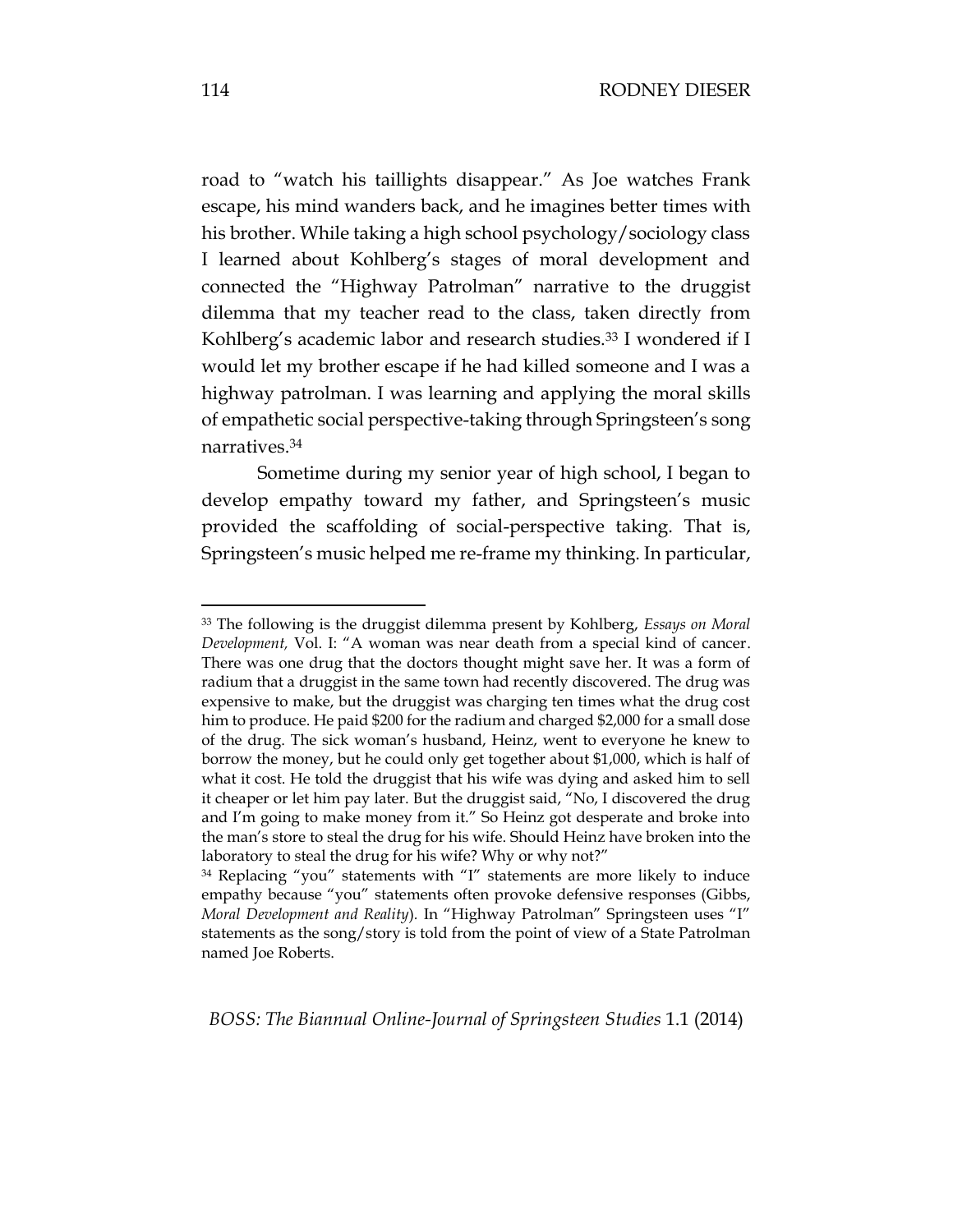road to "watch his taillights disappear." As Joe watches Frank escape, his mind wanders back, and he imagines better times with his brother. While taking a high school psychology/sociology class I learned about Kohlberg's stages of moral development and connected the "Highway Patrolman" narrative to the druggist dilemma that my teacher read to the class, taken directly from Kohlberg's academic labor and research studies.<sup>33</sup> I wondered if I would let my brother escape if he had killed someone and I was a highway patrolman. I was learning and applying the moral skills of empathetic social perspective-taking through Springsteen's song narratives.<sup>34</sup>

Sometime during my senior year of high school, I began to develop empathy toward my father, and Springsteen's music provided the scaffolding of social-perspective taking. That is, Springsteen's music helped me re-frame my thinking. In particular,

*BOSS: The Biannual Online-Journal of Springsteen Studies* 1.1 (2014)

<sup>33</sup> The following is the druggist dilemma present by Kohlberg, *Essays on Moral Development,* Vol. I: "A woman was near death from a special kind of cancer. There was one drug that the doctors thought might save her. It was a form of radium that a druggist in the same town had recently discovered. The drug was expensive to make, but the druggist was charging ten times what the drug cost him to produce. He paid \$200 for the radium and charged \$2,000 for a small dose of the drug. The sick woman's husband, Heinz, went to everyone he knew to borrow the money, but he could only get together about \$1,000, which is half of what it cost. He told the druggist that his wife was dying and asked him to sell it cheaper or let him pay later. But the druggist said, "No, I discovered the drug and I'm going to make money from it." So Heinz got desperate and broke into the man's store to steal the drug for his wife. Should Heinz have broken into the laboratory to steal the drug for his wife? Why or why not?"

<sup>34</sup> Replacing "you" statements with "I" statements are more likely to induce empathy because "you" statements often provoke defensive responses (Gibbs, *Moral Development and Reality*)*.* In "Highway Patrolman" Springsteen uses "I" statements as the song/story is told from the point of view of a State Patrolman named Joe Roberts.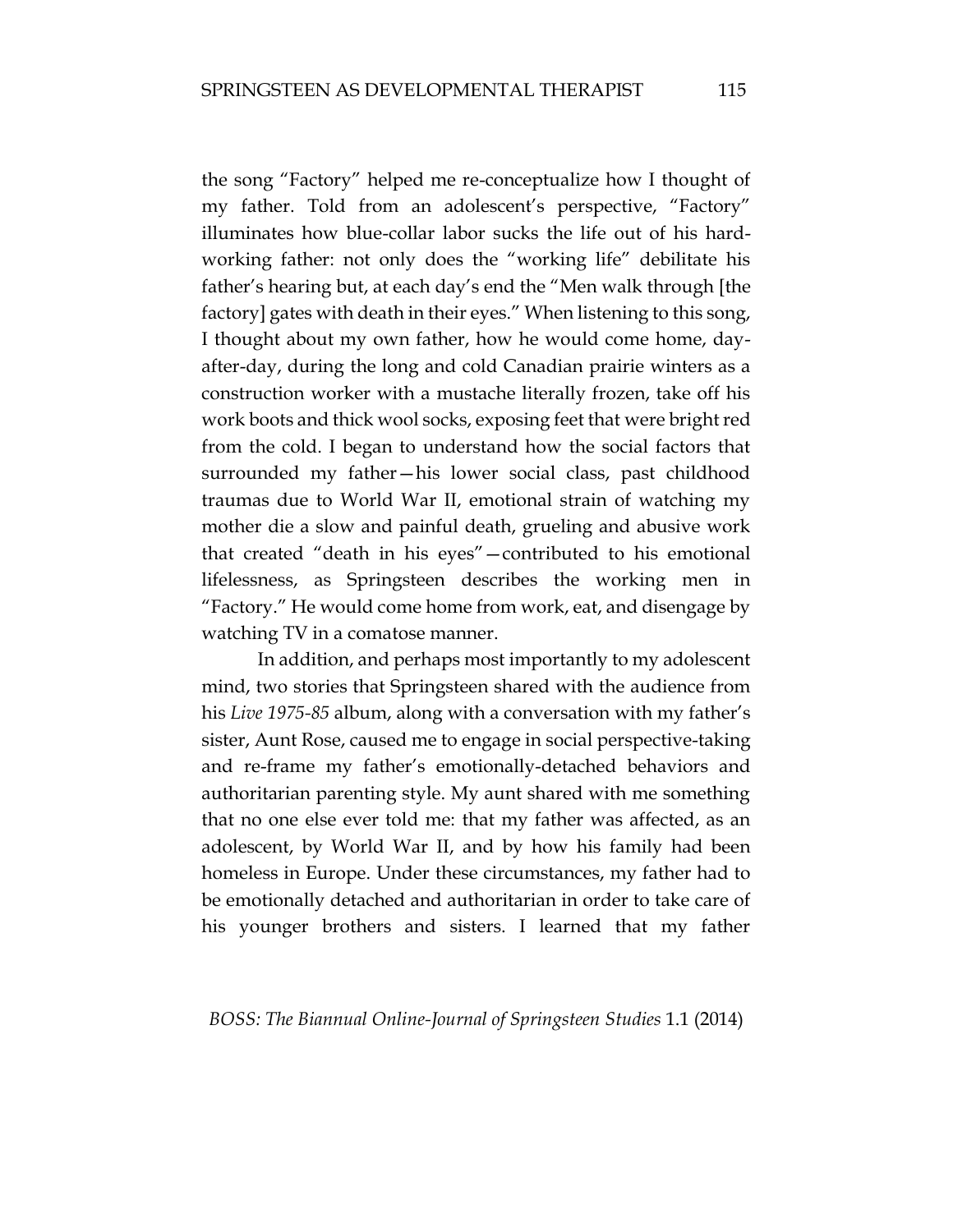the song "Factory" helped me re-conceptualize how I thought of my father. Told from an adolescent's perspective, "Factory" illuminates how blue-collar labor sucks the life out of his hardworking father: not only does the "working life" debilitate his father's hearing but, at each day's end the "Men walk through [the factory] gates with death in their eyes." When listening to this song, I thought about my own father, how he would come home, dayafter-day, during the long and cold Canadian prairie winters as a construction worker with a mustache literally frozen, take off his work boots and thick wool socks, exposing feet that were bright red from the cold. I began to understand how the social factors that surrounded my father—his lower social class, past childhood traumas due to World War II, emotional strain of watching my mother die a slow and painful death, grueling and abusive work that created "death in his eyes"—contributed to his emotional lifelessness, as Springsteen describes the working men in "Factory." He would come home from work, eat, and disengage by watching TV in a comatose manner.

In addition, and perhaps most importantly to my adolescent mind, two stories that Springsteen shared with the audience from his *Live 1975-85* album, along with a conversation with my father's sister, Aunt Rose, caused me to engage in social perspective-taking and re-frame my father's emotionally-detached behaviors and authoritarian parenting style. My aunt shared with me something that no one else ever told me: that my father was affected, as an adolescent, by World War II, and by how his family had been homeless in Europe. Under these circumstances, my father had to be emotionally detached and authoritarian in order to take care of his younger brothers and sisters. I learned that my father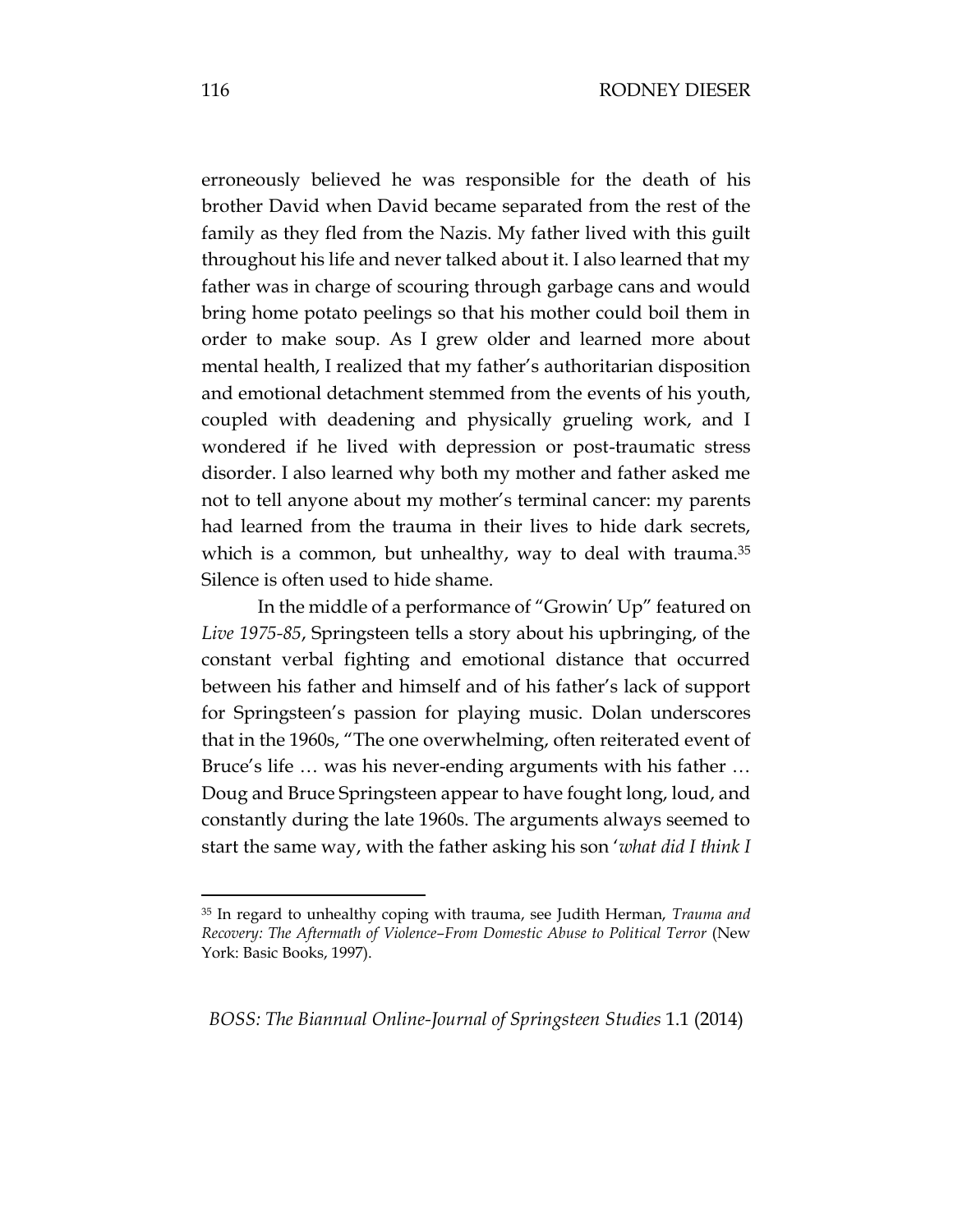erroneously believed he was responsible for the death of his brother David when David became separated from the rest of the family as they fled from the Nazis. My father lived with this guilt throughout his life and never talked about it. I also learned that my father was in charge of scouring through garbage cans and would bring home potato peelings so that his mother could boil them in order to make soup. As I grew older and learned more about mental health, I realized that my father's authoritarian disposition and emotional detachment stemmed from the events of his youth, coupled with deadening and physically grueling work, and I wondered if he lived with depression or post-traumatic stress disorder. I also learned why both my mother and father asked me not to tell anyone about my mother's terminal cancer: my parents had learned from the trauma in their lives to hide dark secrets, which is a common, but unhealthy, way to deal with trauma.<sup>35</sup> Silence is often used to hide shame.

In the middle of a performance of "Growin' Up" featured on *Live 1975-85*, Springsteen tells a story about his upbringing, of the constant verbal fighting and emotional distance that occurred between his father and himself and of his father's lack of support for Springsteen's passion for playing music. Dolan underscores that in the 1960s, "The one overwhelming, often reiterated event of Bruce's life … was his never-ending arguments with his father … Doug and Bruce Springsteen appear to have fought long, loud, and constantly during the late 1960s. The arguments always seemed to start the same way, with the father asking his son '*what did I think I* 

*BOSS: The Biannual Online-Journal of Springsteen Studies* 1.1 (2014)

<sup>35</sup> In regard to unhealthy coping with trauma, see Judith Herman, *Trauma and Recovery: The Aftermath of Violence–From Domestic Abuse to Political Terror* (New York: Basic Books, 1997).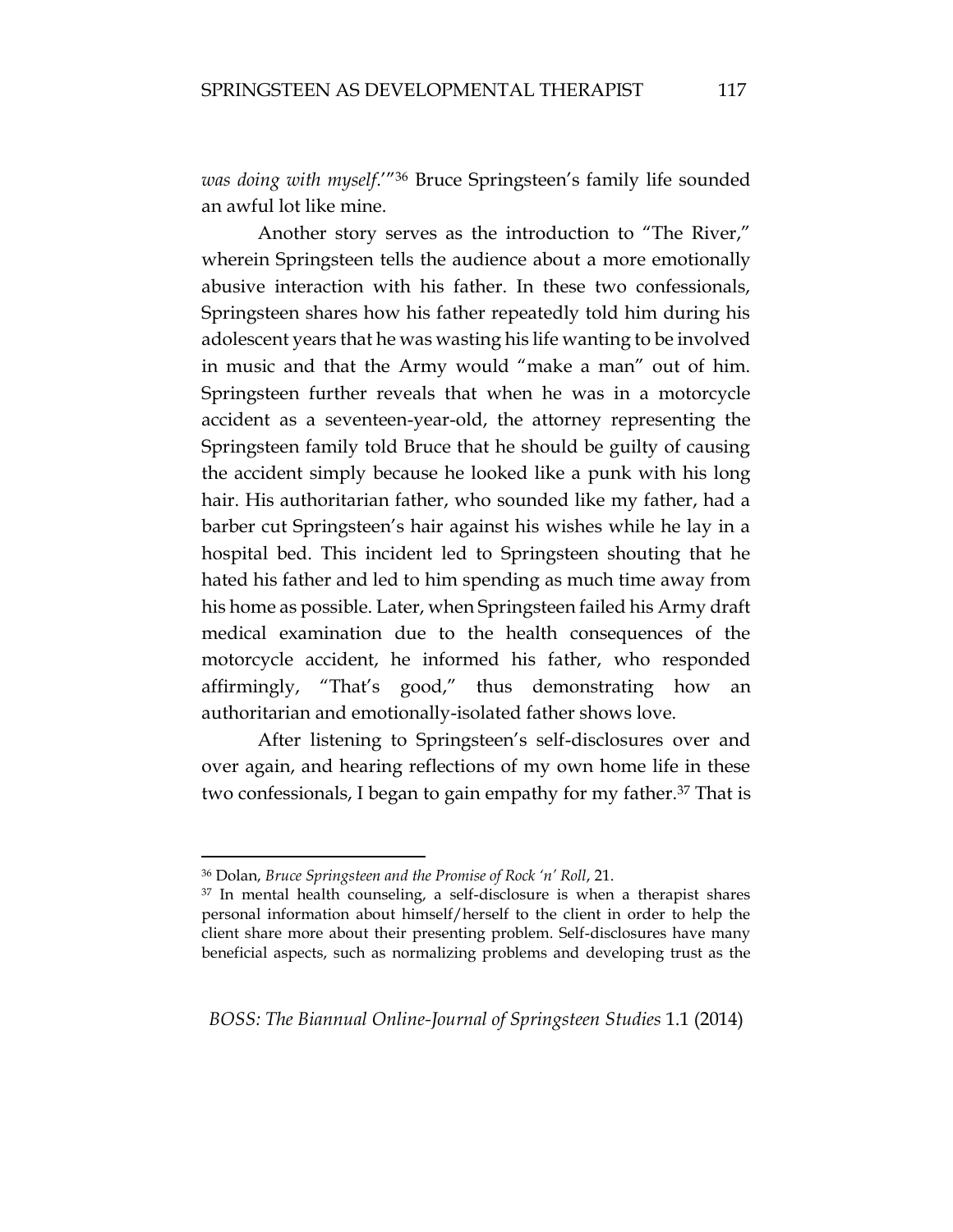*was doing with myself*.'"<sup>36</sup> Bruce Springsteen's family life sounded an awful lot like mine.

Another story serves as the introduction to "The River," wherein Springsteen tells the audience about a more emotionally abusive interaction with his father. In these two confessionals, Springsteen shares how his father repeatedly told him during his adolescent years that he was wasting his life wanting to be involved in music and that the Army would "make a man" out of him. Springsteen further reveals that when he was in a motorcycle accident as a seventeen-year-old, the attorney representing the Springsteen family told Bruce that he should be guilty of causing the accident simply because he looked like a punk with his long hair. His authoritarian father, who sounded like my father, had a barber cut Springsteen's hair against his wishes while he lay in a hospital bed. This incident led to Springsteen shouting that he hated his father and led to him spending as much time away from his home as possible. Later, when Springsteen failed his Army draft medical examination due to the health consequences of the motorcycle accident, he informed his father, who responded affirmingly, "That's good," thus demonstrating how an authoritarian and emotionally-isolated father shows love.

After listening to Springsteen's self-disclosures over and over again, and hearing reflections of my own home life in these two confessionals, I began to gain empathy for my father.<sup>37</sup> That is

<sup>36</sup> Dolan, *Bruce Springsteen and the Promise of Rock 'n' Roll*, 21.

<sup>&</sup>lt;sup>37</sup> In mental health counseling, a self-disclosure is when a therapist shares personal information about himself/herself to the client in order to help the client share more about their presenting problem. Self-disclosures have many beneficial aspects, such as normalizing problems and developing trust as the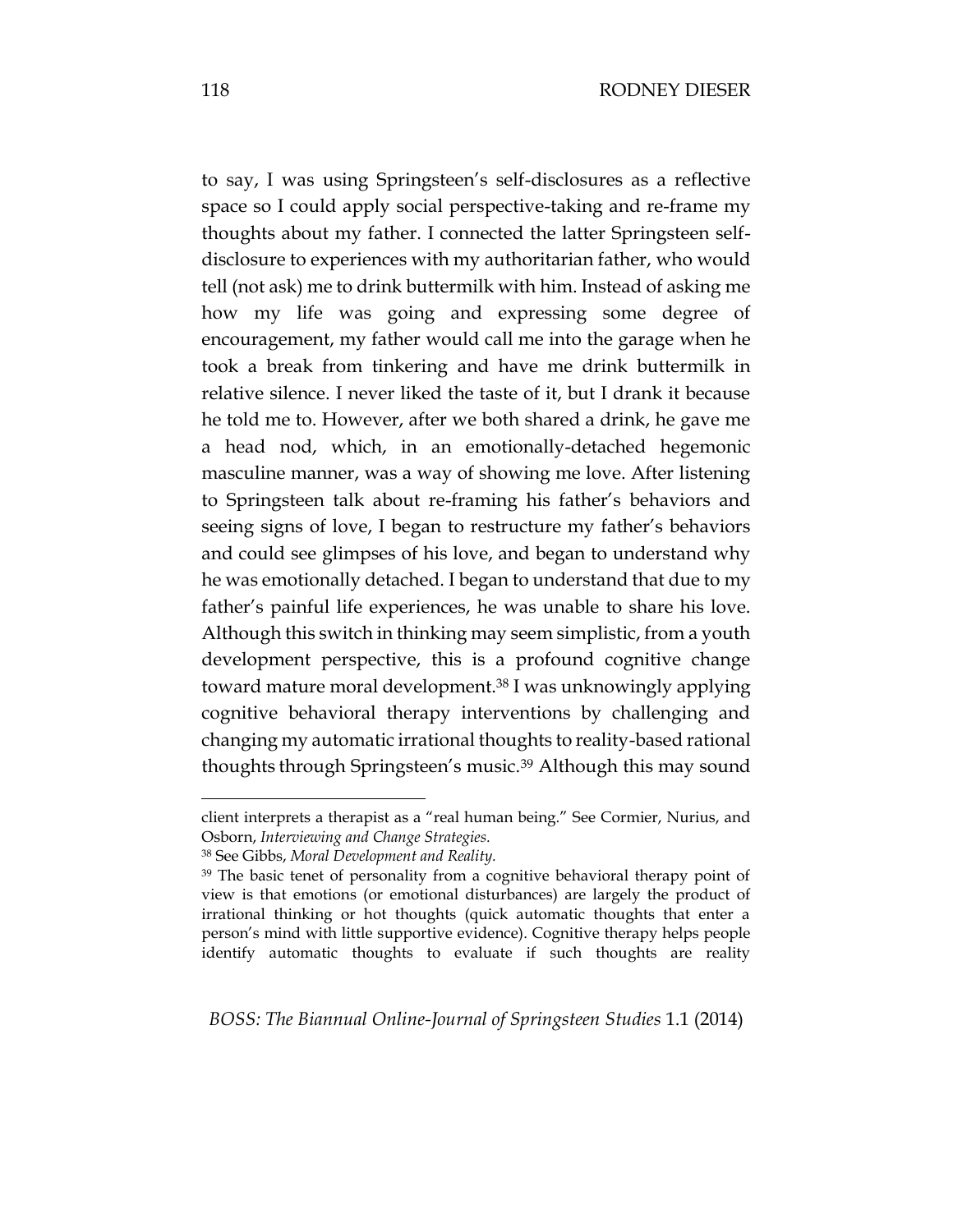to say, I was using Springsteen's self-disclosures as a reflective space so I could apply social perspective-taking and re-frame my thoughts about my father. I connected the latter Springsteen selfdisclosure to experiences with my authoritarian father, who would tell (not ask) me to drink buttermilk with him. Instead of asking me how my life was going and expressing some degree of encouragement, my father would call me into the garage when he took a break from tinkering and have me drink buttermilk in relative silence. I never liked the taste of it, but I drank it because he told me to. However, after we both shared a drink, he gave me a head nod, which, in an emotionally-detached hegemonic masculine manner, was a way of showing me love. After listening to Springsteen talk about re-framing his father's behaviors and seeing signs of love, I began to restructure my father's behaviors and could see glimpses of his love, and began to understand why he was emotionally detached. I began to understand that due to my father's painful life experiences, he was unable to share his love. Although this switch in thinking may seem simplistic, from a youth development perspective, this is a profound cognitive change toward mature moral development.<sup>38</sup> I was unknowingly applying cognitive behavioral therapy interventions by challenging and changing my automatic irrational thoughts to reality-based rational thoughts through Springsteen's music.<sup>39</sup> Although this may sound

client interprets a therapist as a "real human being." See Cormier, Nurius, and Osborn, *Interviewing and Change Strategies.*

<sup>38</sup> See Gibbs, *Moral Development and Reality.*

<sup>&</sup>lt;sup>39</sup> The basic tenet of personality from a cognitive behavioral therapy point of view is that emotions (or emotional disturbances) are largely the product of irrational thinking or hot thoughts (quick automatic thoughts that enter a person's mind with little supportive evidence). Cognitive therapy helps people identify automatic thoughts to evaluate if such thoughts are reality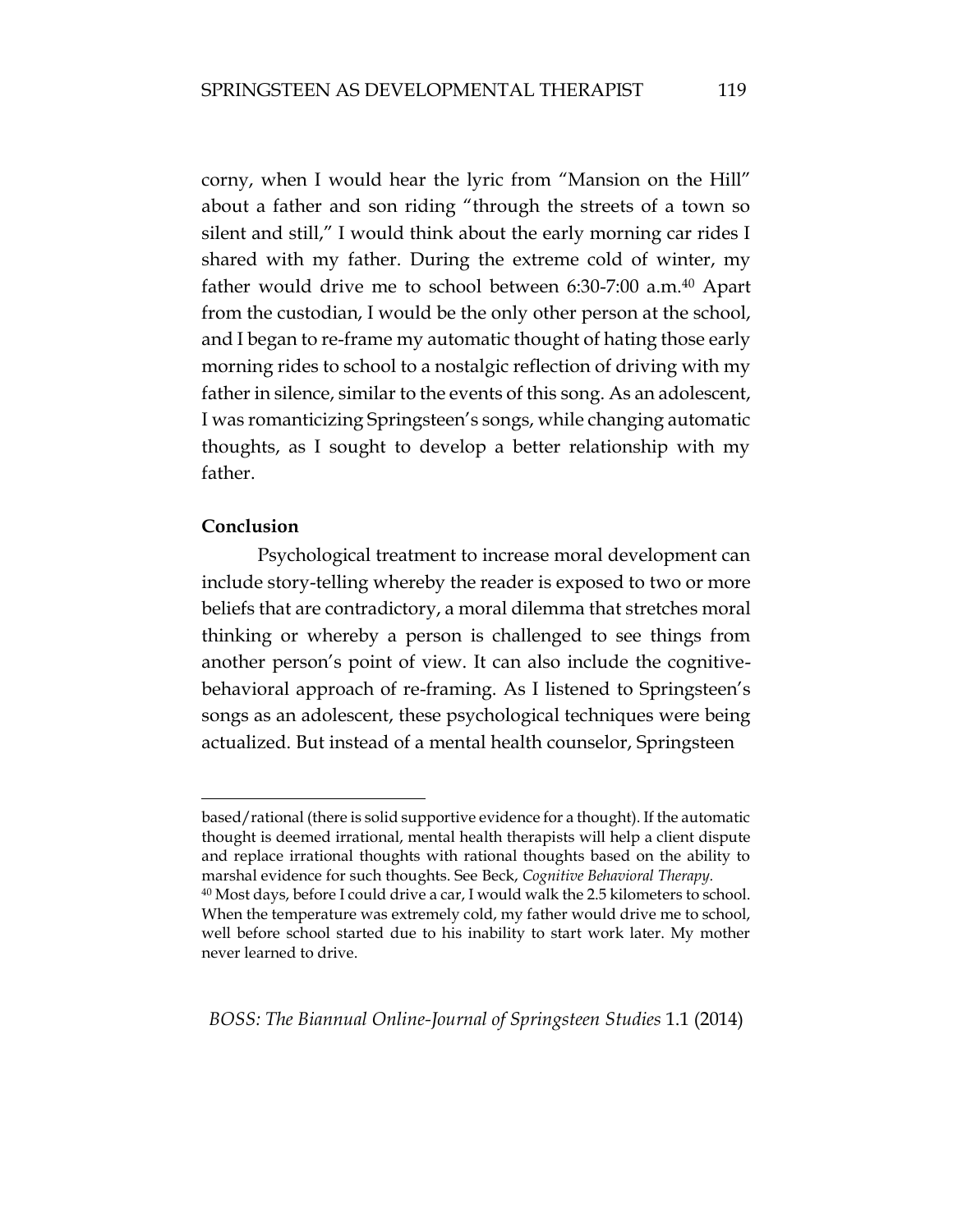corny, when I would hear the lyric from "Mansion on the Hill" about a father and son riding "through the streets of a town so silent and still," I would think about the early morning car rides I shared with my father. During the extreme cold of winter, my father would drive me to school between 6:30-7:00 a.m.<sup>40</sup> Apart from the custodian, I would be the only other person at the school, and I began to re-frame my automatic thought of hating those early morning rides to school to a nostalgic reflection of driving with my father in silence, similar to the events of this song. As an adolescent, I was romanticizing Springsteen's songs, while changing automatic thoughts, as I sought to develop a better relationship with my father.

### **Conclusion**

 $\overline{a}$ 

Psychological treatment to increase moral development can include story-telling whereby the reader is exposed to two or more beliefs that are contradictory, a moral dilemma that stretches moral thinking or whereby a person is challenged to see things from another person's point of view. It can also include the cognitivebehavioral approach of re-framing. As I listened to Springsteen's songs as an adolescent, these psychological techniques were being actualized. But instead of a mental health counselor, Springsteen

based/rational (there is solid supportive evidence for a thought). If the automatic thought is deemed irrational, mental health therapists will help a client dispute and replace irrational thoughts with rational thoughts based on the ability to marshal evidence for such thoughts. See Beck, *Cognitive Behavioral Therapy.*

<sup>40</sup> Most days, before I could drive a car, I would walk the 2.5 kilometers to school. When the temperature was extremely cold, my father would drive me to school, well before school started due to his inability to start work later. My mother never learned to drive.